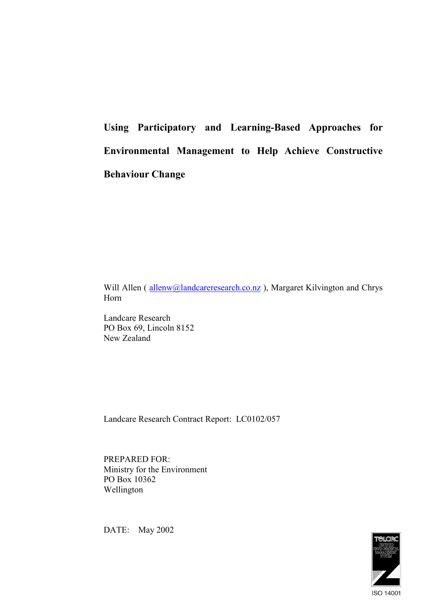**Using Participatory and Learning-Based Approaches for Environmental Management to Help Achieve Constructive Behaviour Change**

Will Allen (allenw@landcareresearch.co.nz), Margaret Kilvington and Chrys Horn

Landcare Research PO Box 69, Lincoln 8152 New Zealand

Landcare Research Contract Report: LC0102/057

PREPARED FOR: Ministry for the Environment PO Box 10362 Wellington

DATE: May 2002

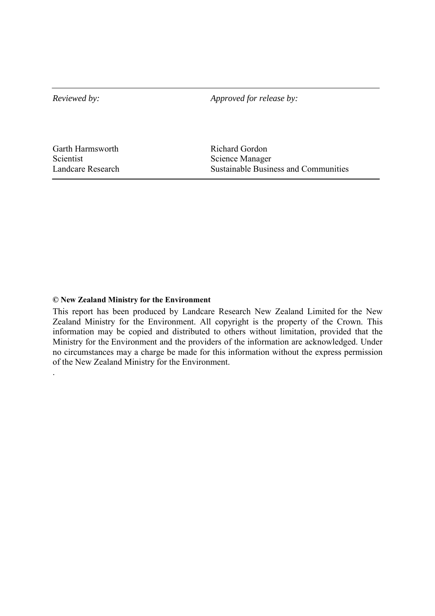*Reviewed by: Approved for release by:* 

Garth Harmsworth Richard Gordon Scientist Science Manager

.

Landcare Research Sustainable Business and Communities

#### **© New Zealand Ministry for the Environment**

This report has been produced by Landcare Research New Zealand Limited for the New Zealand Ministry for the Environment. All copyright is the property of the Crown. This information may be copied and distributed to others without limitation, provided that the Ministry for the Environment and the providers of the information are acknowledged. Under no circumstances may a charge be made for this information without the express permission of the New Zealand Ministry for the Environment.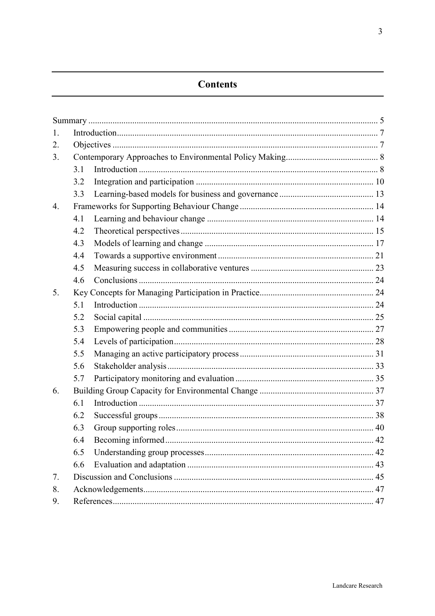## **Contents**

| 1. |     |  |    |
|----|-----|--|----|
| 2. |     |  |    |
| 3. |     |  |    |
|    | 3.1 |  |    |
|    | 3.2 |  |    |
|    | 3.3 |  |    |
| 4. |     |  |    |
|    | 4.1 |  |    |
|    | 4.2 |  |    |
|    | 4.3 |  |    |
|    | 4.4 |  |    |
|    | 4.5 |  |    |
|    | 4.6 |  |    |
| 5. |     |  |    |
|    | 5.1 |  |    |
|    | 5.2 |  |    |
|    | 5.3 |  |    |
|    | 5.4 |  |    |
|    | 5.5 |  |    |
|    | 5.6 |  |    |
|    | 5.7 |  |    |
| 6. |     |  |    |
|    | 6.1 |  |    |
|    | 6.2 |  |    |
|    | 6.3 |  |    |
|    | 6.4 |  | 42 |
|    | 6.5 |  |    |
|    | 6.6 |  |    |
| 7. |     |  |    |
| 8. |     |  |    |
| 9. |     |  |    |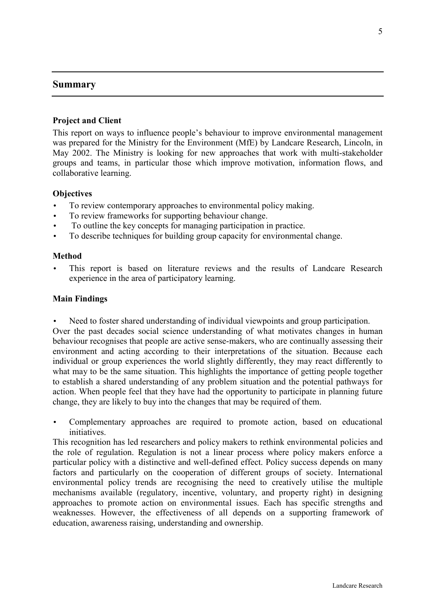## <span id="page-4-0"></span>**Summary**

## **Project and Client**

This report on ways to influence people's behaviour to improve environmental management was prepared for the Ministry for the Environment (MfE) by Landcare Research, Lincoln, in May 2002. The Ministry is looking for new approaches that work with multi-stakeholder groups and teams, in particular those which improve motivation, information flows, and collaborative learning.

## **Objectives**

- To review contemporary approaches to environmental policy making.
- To review frameworks for supporting behaviour change.
- To outline the key concepts for managing participation in practice.
- To describe techniques for building group capacity for environmental change.

#### **Method**

This report is based on literature reviews and the results of Landcare Research experience in the area of participatory learning.

## **Main Findings**

Need to foster shared understanding of individual viewpoints and group participation.

Over the past decades social science understanding of what motivates changes in human behaviour recognises that people are active sense-makers, who are continually assessing their environment and acting according to their interpretations of the situation. Because each individual or group experiences the world slightly differently, they may react differently to what may to be the same situation. This highlights the importance of getting people together to establish a shared understanding of any problem situation and the potential pathways for action. When people feel that they have had the opportunity to participate in planning future change, they are likely to buy into the changes that may be required of them.

• Complementary approaches are required to promote action, based on educational initiatives.

This recognition has led researchers and policy makers to rethink environmental policies and the role of regulation. Regulation is not a linear process where policy makers enforce a particular policy with a distinctive and well-defined effect. Policy success depends on many factors and particularly on the cooperation of different groups of society. International environmental policy trends are recognising the need to creatively utilise the multiple mechanisms available (regulatory, incentive, voluntary, and property right) in designing approaches to promote action on environmental issues. Each has specific strengths and weaknesses. However, the effectiveness of all depends on a supporting framework of education, awareness raising, understanding and ownership.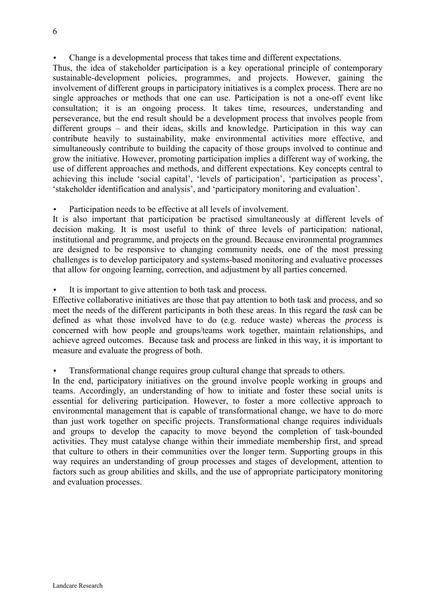• Change is a developmental process that takes time and different expectations.

Thus, the idea of stakeholder participation is a key operational principle of contemporary sustainable-development policies, programmes, and projects. However, gaining the involvement of different groups in participatory initiatives is a complex process. There are no single approaches or methods that one can use. Participation is not a one-off event like consultation; it is an ongoing process. It takes time, resources, understanding and perseverance, but the end result should be a development process that involves people from different groups – and their ideas, skills and knowledge. Participation in this way can contribute heavily to sustainability, make environmental activities more effective, and simultaneously contribute to building the capacity of those groups involved to continue and grow the initiative. However, promoting participation implies a different way of working, the use of different approaches and methods, and different expectations. Key concepts central to achieving this include 'social capital', 'levels of participation', 'participation as process', 'stakeholder identification and analysis', and 'participatory monitoring and evaluation'.

Participation needs to be effective at all levels of involvement.

It is also important that participation be practised simultaneously at different levels of decision making. It is most useful to think of three levels of participation: national, institutional and programme, and projects on the ground. Because environmental programmes are designed to be responsive to changing community needs, one of the most pressing challenges is to develop participatory and systems-based monitoring and evaluative processes that allow for ongoing learning, correction, and adjustment by all parties concerned.

It is important to give attention to both task and process.

Effective collaborative initiatives are those that pay attention to both task and process, and so meet the needs of the different participants in both these areas. In this regard the *task* can be defined as what those involved have to do (e.g. reduce waste) whereas the *process* is concerned with how people and groups/teams work together, maintain relationships, and achieve agreed outcomes. Because task and process are linked in this way, it is important to measure and evaluate the progress of both.

• Transformational change requires group cultural change that spreads to others.

In the end, participatory initiatives on the ground involve people working in groups and teams. Accordingly, an understanding of how to initiate and foster these social units is essential for delivering participation. However, to foster a more collective approach to environmental management that is capable of transformational change, we have to do more than just work together on specific projects. Transformational change requires individuals and groups to develop the capacity to move beyond the completion of task-bounded activities. They must catalyse change within their immediate membership first, and spread that culture to others in their communities over the longer term. Supporting groups in this way requires an understanding of group processes and stages of development, attention to factors such as group abilities and skills, and the use of appropriate participatory monitoring and evaluation processes.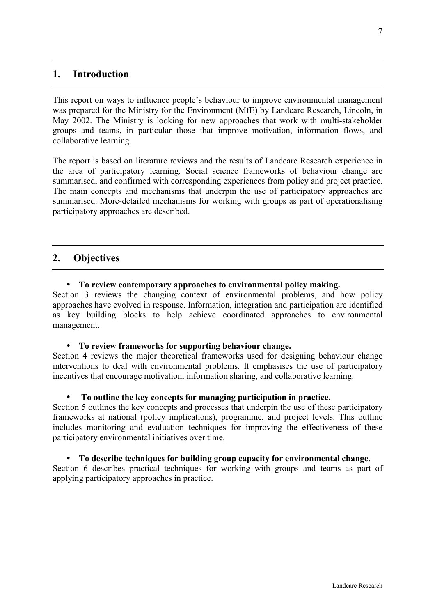## <span id="page-6-0"></span>**1. Introduction**

This report on ways to influence people's behaviour to improve environmental management was prepared for the Ministry for the Environment (MfE) by Landcare Research, Lincoln, in May 2002. The Ministry is looking for new approaches that work with multi-stakeholder groups and teams, in particular those that improve motivation, information flows, and collaborative learning.

The report is based on literature reviews and the results of Landcare Research experience in the area of participatory learning. Social science frameworks of behaviour change are summarised, and confirmed with corresponding experiences from policy and project practice. The main concepts and mechanisms that underpin the use of participatory approaches are summarised. More-detailed mechanisms for working with groups as part of operationalising participatory approaches are described.

## **2. Objectives**

#### • **To review contemporary approaches to environmental policy making.**

Section 3 reviews the changing context of environmental problems, and how policy approaches have evolved in response. Information, integration and participation are identified as key building blocks to help achieve coordinated approaches to environmental management.

#### • **To review frameworks for supporting behaviour change.**

Section 4 reviews the major theoretical frameworks used for designing behaviour change interventions to deal with environmental problems. It emphasises the use of participatory incentives that encourage motivation, information sharing, and collaborative learning.

#### • **To outline the key concepts for managing participation in practice.**

Section 5 outlines the key concepts and processes that underpin the use of these participatory frameworks at national (policy implications), programme, and project levels. This outline includes monitoring and evaluation techniques for improving the effectiveness of these participatory environmental initiatives over time.

#### • **To describe techniques for building group capacity for environmental change.**

Section 6 describes practical techniques for working with groups and teams as part of applying participatory approaches in practice.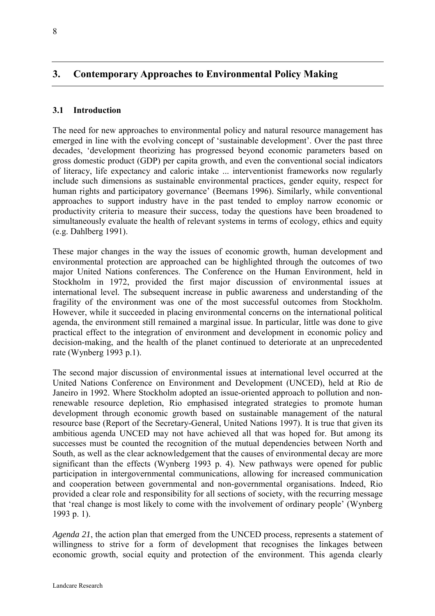## <span id="page-7-0"></span>**3. Contemporary Approaches to Environmental Policy Making**

## **3.1 Introduction**

The need for new approaches to environmental policy and natural resource management has emerged in line with the evolving concept of 'sustainable development'. Over the past three decades, 'development theorizing has progressed beyond economic parameters based on gross domestic product (GDP) per capita growth, and even the conventional social indicators of literacy, life expectancy and caloric intake ... interventionist frameworks now regularly include such dimensions as sustainable environmental practices, gender equity, respect for human rights and participatory governance' (Beemans 1996). Similarly, while conventional approaches to support industry have in the past tended to employ narrow economic or productivity criteria to measure their success, today the questions have been broadened to simultaneously evaluate the health of relevant systems in terms of ecology, ethics and equity (e.g. Dahlberg 1991).

These major changes in the way the issues of economic growth, human development and environmental protection are approached can be highlighted through the outcomes of two major United Nations conferences. The Conference on the Human Environment, held in Stockholm in 1972, provided the first major discussion of environmental issues at international level. The subsequent increase in public awareness and understanding of the fragility of the environment was one of the most successful outcomes from Stockholm. However, while it succeeded in placing environmental concerns on the international political agenda, the environment still remained a marginal issue. In particular, little was done to give practical effect to the integration of environment and development in economic policy and decision-making, and the health of the planet continued to deteriorate at an unprecedented rate (Wynberg 1993 p.1).

The second major discussion of environmental issues at international level occurred at the United Nations Conference on Environment and Development (UNCED), held at Rio de Janeiro in 1992. Where Stockholm adopted an issue-oriented approach to pollution and nonrenewable resource depletion, Rio emphasised integrated strategies to promote human development through economic growth based on sustainable management of the natural resource base (Report of the Secretary-General, United Nations 1997). It is true that given its ambitious agenda UNCED may not have achieved all that was hoped for. But among its successes must be counted the recognition of the mutual dependencies between North and South, as well as the clear acknowledgement that the causes of environmental decay are more significant than the effects (Wynberg 1993 p. 4). New pathways were opened for public participation in intergovernmental communications, allowing for increased communication and cooperation between governmental and non-governmental organisations. Indeed, Rio provided a clear role and responsibility for all sections of society, with the recurring message that 'real change is most likely to come with the involvement of ordinary people' (Wynberg 1993 p. 1).

*Agenda 21*, the action plan that emerged from the UNCED process, represents a statement of willingness to strive for a form of development that recognises the linkages between economic growth, social equity and protection of the environment. This agenda clearly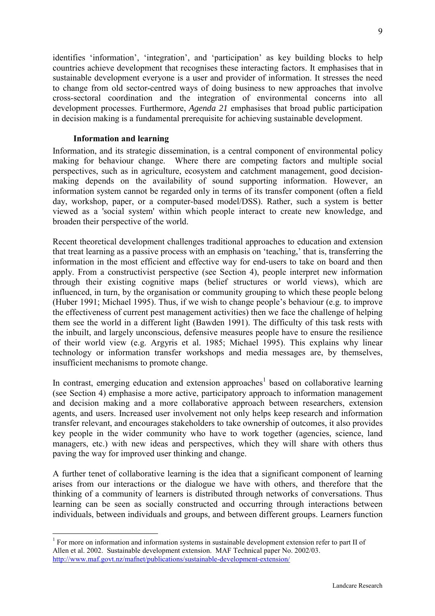identifies 'information', 'integration', and 'participation' as key building blocks to help countries achieve development that recognises these interacting factors. It emphasises that in sustainable development everyone is a user and provider of information. It stresses the need to change from old sector-centred ways of doing business to new approaches that involve cross-sectoral coordination and the integration of environmental concerns into all development processes. Furthermore, *Agenda 21* emphasises that broad public participation in decision making is a fundamental prerequisite for achieving sustainable development.

#### **Information and learning**

 $\overline{a}$ 

Information, and its strategic dissemination, is a central component of environmental policy making for behaviour change. Where there are competing factors and multiple social perspectives, such as in agriculture, ecosystem and catchment management, good decisionmaking depends on the availability of sound supporting information. However, an information system cannot be regarded only in terms of its transfer component (often a field day, workshop, paper, or a computer-based model/DSS). Rather, such a system is better viewed as a 'social system' within which people interact to create new knowledge, and broaden their perspective of the world.

Recent theoretical development challenges traditional approaches to education and extension that treat learning as a passive process with an emphasis on 'teaching,' that is, transferring the information in the most efficient and effective way for end-users to take on board and then apply. From a constructivist perspective (see Section 4), people interpret new information through their existing cognitive maps (belief structures or world views), which are influenced, in turn, by the organisation or community grouping to which these people belong (Huber 1991; Michael 1995). Thus, if we wish to change people's behaviour (e.g. to improve the effectiveness of current pest management activities) then we face the challenge of helping them see the world in a different light (Bawden 1991). The difficulty of this task rests with the inbuilt, and largely unconscious, defensive measures people have to ensure the resilience of their world view (e.g. Argyris et al. 1985; Michael 1995). This explains why linear technology or information transfer workshops and media messages are, by themselves, insufficient mechanisms to promote change.

In contrast, emerging education and extension approaches<sup>1</sup> based on collaborative learning (see Section 4) emphasise a more active, participatory approach to information management and decision making and a more collaborative approach between researchers, extension agents, and users. Increased user involvement not only helps keep research and information transfer relevant, and encourages stakeholders to take ownership of outcomes, it also provides key people in the wider community who have to work together (agencies, science, land managers, etc.) with new ideas and perspectives, which they will share with others thus paving the way for improved user thinking and change.

A further tenet of collaborative learning is the idea that a significant component of learning arises from our interactions or the dialogue we have with others, and therefore that the thinking of a community of learners is distributed through networks of conversations. Thus learning can be seen as socially constructed and occurring through interactions between individuals, between individuals and groups, and between different groups. Learners function

 $<sup>1</sup>$  For more on information and information systems in sustainable development extension refer to part II of</sup> Allen et al. 2002. Sustainable development extension. MAF Technical paper No. 2002/03. http://www.maf.govt.nz/mafnet/publications/sustainable-development-extension/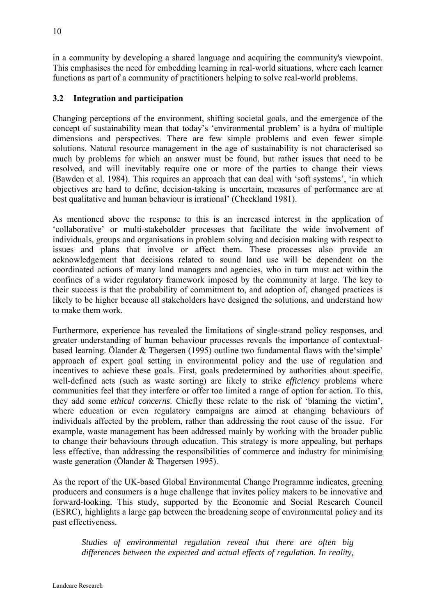<span id="page-9-0"></span>in a community by developing a shared language and acquiring the community's viewpoint. This emphasises the need for embedding learning in real-world situations, where each learner functions as part of a community of practitioners helping to solve real-world problems.

## **3.2 Integration and participation**

Changing perceptions of the environment, shifting societal goals, and the emergence of the concept of sustainability mean that today's 'environmental problem' is a hydra of multiple dimensions and perspectives. There are few simple problems and even fewer simple solutions. Natural resource management in the age of sustainability is not characterised so much by problems for which an answer must be found, but rather issues that need to be resolved, and will inevitably require one or more of the parties to change their views (Bawden et al. 1984). This requires an approach that can deal with 'soft systems', 'in which objectives are hard to define, decision-taking is uncertain, measures of performance are at best qualitative and human behaviour is irrational' (Checkland 1981).

As mentioned above the response to this is an increased interest in the application of 'collaborative' or multi-stakeholder processes that facilitate the wide involvement of individuals, groups and organisations in problem solving and decision making with respect to issues and plans that involve or affect them. These processes also provide an acknowledgement that decisions related to sound land use will be dependent on the coordinated actions of many land managers and agencies, who in turn must act within the confines of a wider regulatory framework imposed by the community at large. The key to their success is that the probability of commitment to, and adoption of, changed practices is likely to be higher because all stakeholders have designed the solutions, and understand how to make them work.

Furthermore, experience has revealed the limitations of single-strand policy responses, and greater understanding of human behaviour processes reveals the importance of contextualbased learning. Ölander & Thøgersen (1995) outline two fundamental flaws with the'simple' approach of expert goal setting in environmental policy and the use of regulation and incentives to achieve these goals. First, goals predetermined by authorities about specific, well-defined acts (such as waste sorting) are likely to strike *efficiency* problems where communities feel that they interfere or offer too limited a range of option for action. To this, they add some *ethical concerns*. Chiefly these relate to the risk of 'blaming the victim', where education or even regulatory campaigns are aimed at changing behaviours of individuals affected by the problem, rather than addressing the root cause of the issue. For example, waste management has been addressed mainly by working with the broader public to change their behaviours through education. This strategy is more appealing, but perhaps less effective, than addressing the responsibilities of commerce and industry for minimising waste generation (Ölander & Thøgersen 1995).

As the report of the UK-based Global Environmental Change Programme indicates, greening producers and consumers is a huge challenge that invites policy makers to be innovative and forward-looking. This study, supported by the Economic and Social Research Council (ESRC), highlights a large gap between the broadening scope of environmental policy and its past effectiveness.

*Studies of environmental regulation reveal that there are often big differences between the expected and actual effects of regulation. In reality,*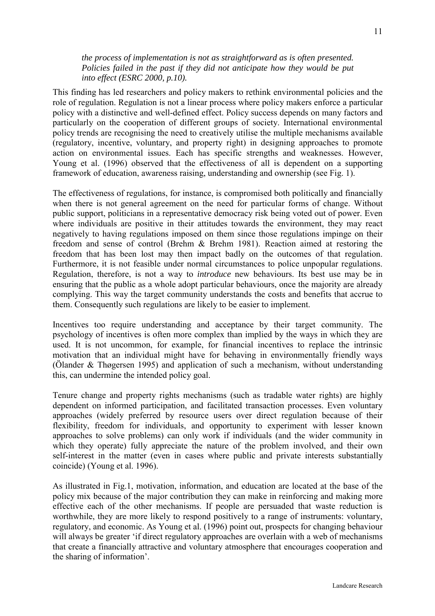#### *the process of implementation is not as straightforward as is often presented. Policies failed in the past if they did not anticipate how they would be put into effect (ESRC 2000, p.10).*

This finding has led researchers and policy makers to rethink environmental policies and the role of regulation. Regulation is not a linear process where policy makers enforce a particular policy with a distinctive and well-defined effect. Policy success depends on many factors and particularly on the cooperation of different groups of society. International environmental policy trends are recognising the need to creatively utilise the multiple mechanisms available (regulatory, incentive, voluntary, and property right) in designing approaches to promote action on environmental issues. Each has specific strengths and weaknesses. However, Young et al. (1996) observed that the effectiveness of all is dependent on a supporting framework of education, awareness raising, understanding and ownership (see Fig. 1).

The effectiveness of regulations, for instance, is compromised both politically and financially when there is not general agreement on the need for particular forms of change. Without public support, politicians in a representative democracy risk being voted out of power. Even where individuals are positive in their attitudes towards the environment, they may react negatively to having regulations imposed on them since those regulations impinge on their freedom and sense of control (Brehm & Brehm 1981). Reaction aimed at restoring the freedom that has been lost may then impact badly on the outcomes of that regulation. Furthermore, it is not feasible under normal circumstances to police unpopular regulations. Regulation, therefore, is not a way to *introduce* new behaviours. Its best use may be in ensuring that the public as a whole adopt particular behaviours, once the majority are already complying. This way the target community understands the costs and benefits that accrue to them. Consequently such regulations are likely to be easier to implement.

Incentives too require understanding and acceptance by their target community. The psychology of incentives is often more complex than implied by the ways in which they are used. It is not uncommon, for example, for financial incentives to replace the intrinsic motivation that an individual might have for behaving in environmentally friendly ways (Ölander & Thøgersen 1995) and application of such a mechanism, without understanding this, can undermine the intended policy goal.

Tenure change and property rights mechanisms (such as tradable water rights) are highly dependent on informed participation, and facilitated transaction processes. Even voluntary approaches (widely preferred by resource users over direct regulation because of their flexibility, freedom for individuals, and opportunity to experiment with lesser known approaches to solve problems) can only work if individuals (and the wider community in which they operate) fully appreciate the nature of the problem involved, and their own self-interest in the matter (even in cases where public and private interests substantially coincide) (Young et al. 1996).

As illustrated in Fig.1, motivation, information, and education are located at the base of the policy mix because of the major contribution they can make in reinforcing and making more effective each of the other mechanisms. If people are persuaded that waste reduction is worthwhile, they are more likely to respond positively to a range of instruments: voluntary, regulatory, and economic. As Young et al. (1996) point out, prospects for changing behaviour will always be greater 'if direct regulatory approaches are overlain with a web of mechanisms that create a financially attractive and voluntary atmosphere that encourages cooperation and the sharing of information'.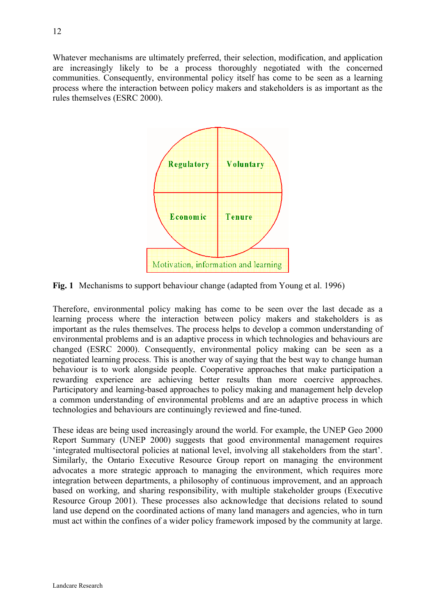Whatever mechanisms are ultimately preferred, their selection, modification, and application are increasingly likely to be a process thoroughly negotiated with the concerned communities. Consequently, environmental policy itself has come to be seen as a learning process where the interaction between policy makers and stakeholders is as important as the rules themselves (ESRC 2000).



**Fig. 1** Mechanisms to support behaviour change (adapted from Young et al. 1996)

Therefore, environmental policy making has come to be seen over the last decade as a learning process where the interaction between policy makers and stakeholders is as important as the rules themselves. The process helps to develop a common understanding of environmental problems and is an adaptive process in which technologies and behaviours are changed (ESRC 2000). Consequently, environmental policy making can be seen as a negotiated learning process. This is another way of saying that the best way to change human behaviour is to work alongside people. Cooperative approaches that make participation a rewarding experience are achieving better results than more coercive approaches. Participatory and learning-based approaches to policy making and management help develop a common understanding of environmental problems and are an adaptive process in which technologies and behaviours are continuingly reviewed and fine-tuned.

These ideas are being used increasingly around the world. For example, the UNEP Geo 2000 Report Summary (UNEP 2000) suggests that good environmental management requires 'integrated multisectoral policies at national level, involving all stakeholders from the start'. Similarly, the Ontario Executive Resource Group report on managing the environment advocates a more strategic approach to managing the environment, which requires more integration between departments, a philosophy of continuous improvement, and an approach based on working, and sharing responsibility, with multiple stakeholder groups (Executive Resource Group 2001). These processes also acknowledge that decisions related to sound land use depend on the coordinated actions of many land managers and agencies, who in turn must act within the confines of a wider policy framework imposed by the community at large.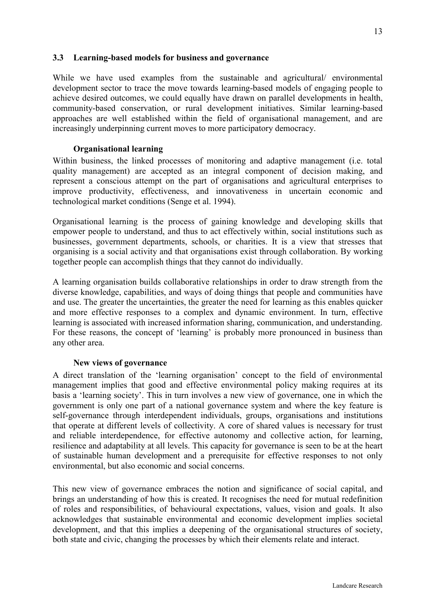#### <span id="page-12-0"></span>**3.3 Learning-based models for business and governance**

While we have used examples from the sustainable and agricultural/ environmental development sector to trace the move towards learning-based models of engaging people to achieve desired outcomes, we could equally have drawn on parallel developments in health, community-based conservation, or rural development initiatives. Similar learning-based approaches are well established within the field of organisational management, and are increasingly underpinning current moves to more participatory democracy.

#### **Organisational learning**

Within business, the linked processes of monitoring and adaptive management (i.e. total quality management) are accepted as an integral component of decision making, and represent a conscious attempt on the part of organisations and agricultural enterprises to improve productivity, effectiveness, and innovativeness in uncertain economic and technological market conditions (Senge et al. 1994).

Organisational learning is the process of gaining knowledge and developing skills that empower people to understand, and thus to act effectively within, social institutions such as businesses, government departments, schools, or charities. It is a view that stresses that organising is a social activity and that organisations exist through collaboration. By working together people can accomplish things that they cannot do individually.

A learning organisation builds collaborative relationships in order to draw strength from the diverse knowledge, capabilities, and ways of doing things that people and communities have and use. The greater the uncertainties, the greater the need for learning as this enables quicker and more effective responses to a complex and dynamic environment. In turn, effective learning is associated with increased information sharing, communication, and understanding. For these reasons, the concept of 'learning' is probably more pronounced in business than any other area.

#### **New views of governance**

A direct translation of the 'learning organisation' concept to the field of environmental management implies that good and effective environmental policy making requires at its basis a 'learning society'. This in turn involves a new view of governance, one in which the government is only one part of a national governance system and where the key feature is self-governance through interdependent individuals, groups, organisations and institutions that operate at different levels of collectivity. A core of shared values is necessary for trust and reliable interdependence, for effective autonomy and collective action, for learning, resilience and adaptability at all levels. This capacity for governance is seen to be at the heart of sustainable human development and a prerequisite for effective responses to not only environmental, but also economic and social concerns.

This new view of governance embraces the notion and significance of social capital, and brings an understanding of how this is created. It recognises the need for mutual redefinition of roles and responsibilities, of behavioural expectations, values, vision and goals. It also acknowledges that sustainable environmental and economic development implies societal development, and that this implies a deepening of the organisational structures of society, both state and civic, changing the processes by which their elements relate and interact.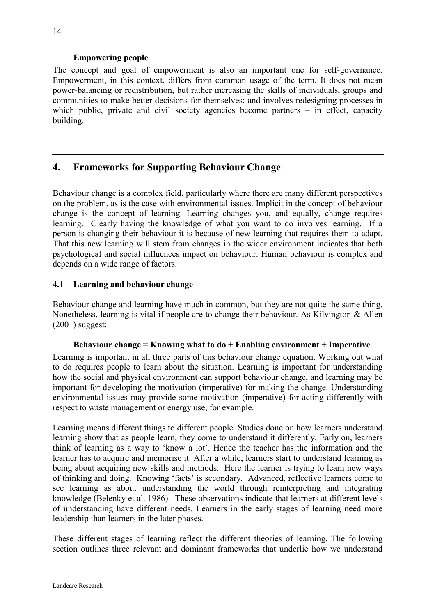## **Empowering people**

<span id="page-13-0"></span>The concept and goal of empowerment is also an important one for self-governance. Empowerment, in this context, differs from common usage of the term. It does not mean power-balancing or redistribution, but rather increasing the skills of individuals, groups and communities to make better decisions for themselves; and involves redesigning processes in which public, private and civil society agencies become partners – in effect, capacity building.

## **4. Frameworks for Supporting Behaviour Change**

Behaviour change is a complex field, particularly where there are many different perspectives on the problem, as is the case with environmental issues. Implicit in the concept of behaviour change is the concept of learning. Learning changes you, and equally, change requires learning. Clearly having the knowledge of what you want to do involves learning. If a person is changing their behaviour it is because of new learning that requires them to adapt. That this new learning will stem from changes in the wider environment indicates that both psychological and social influences impact on behaviour. Human behaviour is complex and depends on a wide range of factors.

## **4.1 Learning and behaviour change**

Behaviour change and learning have much in common, but they are not quite the same thing. Nonetheless, learning is vital if people are to change their behaviour. As Kilvington & Allen (2001) suggest:

#### **Behaviour change = Knowing what to do + Enabling environment + Imperative**

Learning is important in all three parts of this behaviour change equation. Working out what to do requires people to learn about the situation. Learning is important for understanding how the social and physical environment can support behaviour change, and learning may be important for developing the motivation (imperative) for making the change. Understanding environmental issues may provide some motivation (imperative) for acting differently with respect to waste management or energy use, for example.

Learning means different things to different people. Studies done on how learners understand learning show that as people learn, they come to understand it differently. Early on, learners think of learning as a way to 'know a lot'. Hence the teacher has the information and the learner has to acquire and memorise it. After a while, learners start to understand learning as being about acquiring new skills and methods. Here the learner is trying to learn new ways of thinking and doing. Knowing 'facts' is secondary. Advanced, reflective learners come to see learning as about understanding the world through reinterpreting and integrating knowledge (Belenky et al. 1986). These observations indicate that learners at different levels of understanding have different needs. Learners in the early stages of learning need more leadership than learners in the later phases.

These different stages of learning reflect the different theories of learning. The following section outlines three relevant and dominant frameworks that underlie how we understand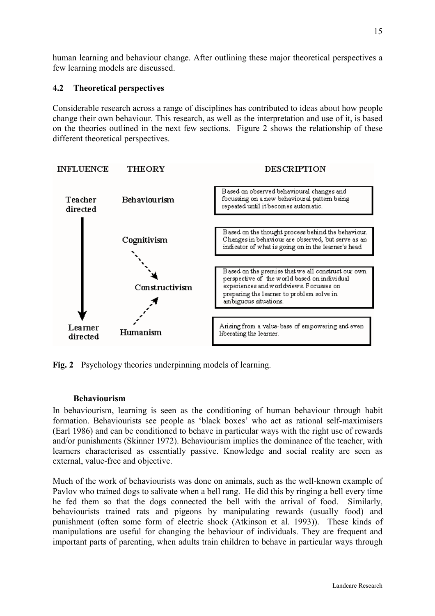<span id="page-14-0"></span>human learning and behaviour change. After outlining these major theoretical perspectives a few learning models are discussed.

## **4.2 Theoretical perspectives**

Considerable research across a range of disciplines has contributed to ideas about how people change their own behaviour. This research, as well as the interpretation and use of it, is based on the theories outlined in the next few sections. Figure 2 shows the relationship of these different theoretical perspectives.



**Fig. 2** Psychology theories underpinning models of learning.

#### **Behaviourism**

In behaviourism, learning is seen as the conditioning of human behaviour through habit formation. Behaviourists see people as 'black boxes' who act as rational self-maximisers (Earl 1986) and can be conditioned to behave in particular ways with the right use of rewards and/or punishments (Skinner 1972). Behaviourism implies the dominance of the teacher, with learners characterised as essentially passive. Knowledge and social reality are seen as external, value-free and objective.

Much of the work of behaviourists was done on animals, such as the well-known example of Pavlov who trained dogs to salivate when a bell rang. He did this by ringing a bell every time he fed them so that the dogs connected the bell with the arrival of food. Similarly, behaviourists trained rats and pigeons by manipulating rewards (usually food) and punishment (often some form of electric shock (Atkinson et al. 1993)). These kinds of manipulations are useful for changing the behaviour of individuals. They are frequent and important parts of parenting, when adults train children to behave in particular ways through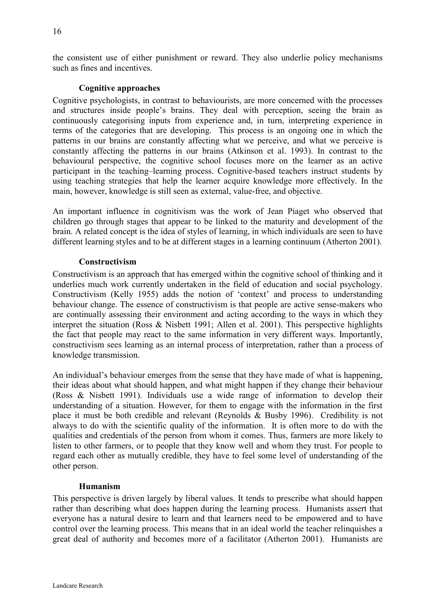the consistent use of either punishment or reward. They also underlie policy mechanisms such as fines and incentives.

#### **Cognitive approaches**

Cognitive psychologists, in contrast to behaviourists, are more concerned with the processes and structures inside people's brains. They deal with perception, seeing the brain as continuously categorising inputs from experience and, in turn, interpreting experience in terms of the categories that are developing. This process is an ongoing one in which the patterns in our brains are constantly affecting what we perceive, and what we perceive is constantly affecting the patterns in our brains (Atkinson et al. 1993). In contrast to the behavioural perspective, the cognitive school focuses more on the learner as an active participant in the teaching–learning process. Cognitive-based teachers instruct students by using teaching strategies that help the learner acquire knowledge more effectively. In the main, however, knowledge is still seen as external, value-free, and objective.

An important influence in cognitivism was the work of Jean Piaget who observed that children go through stages that appear to be linked to the maturity and development of the brain. A related concept is the idea of styles of learning, in which individuals are seen to have different learning styles and to be at different stages in a learning continuum (Atherton 2001).

## **Constructivism**

Constructivism is an approach that has emerged within the cognitive school of thinking and it underlies much work currently undertaken in the field of education and social psychology. Constructivism (Kelly 1955) adds the notion of 'context' and process to understanding behaviour change. The essence of constructivism is that people are active sense-makers who are continually assessing their environment and acting according to the ways in which they interpret the situation (Ross & Nisbett 1991; Allen et al. 2001). This perspective highlights the fact that people may react to the same information in very different ways. Importantly, constructivism sees learning as an internal process of interpretation, rather than a process of knowledge transmission.

An individual's behaviour emerges from the sense that they have made of what is happening, their ideas about what should happen, and what might happen if they change their behaviour (Ross & Nisbett 1991). Individuals use a wide range of information to develop their understanding of a situation. However, for them to engage with the information in the first place it must be both credible and relevant (Reynolds & Busby 1996). Credibility is not always to do with the scientific quality of the information. It is often more to do with the qualities and credentials of the person from whom it comes. Thus, farmers are more likely to listen to other farmers, or to people that they know well and whom they trust. For people to regard each other as mutually credible, they have to feel some level of understanding of the other person.

#### **Humanism**

This perspective is driven largely by liberal values. It tends to prescribe what should happen rather than describing what does happen during the learning process. Humanists assert that everyone has a natural desire to learn and that learners need to be empowered and to have control over the learning process. This means that in an ideal world the teacher relinquishes a great deal of authority and becomes more of a facilitator (Atherton 2001). Humanists are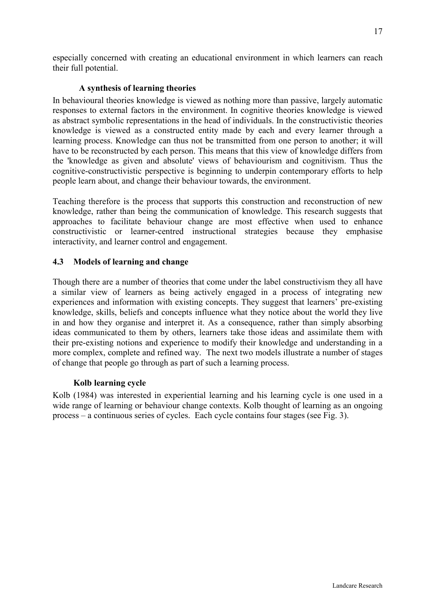<span id="page-16-0"></span>especially concerned with creating an educational environment in which learners can reach their full potential.

## **A synthesis of learning theories**

In behavioural theories knowledge is viewed as nothing more than passive, largely automatic responses to external factors in the environment. In cognitive theories knowledge is viewed as abstract symbolic representations in the head of individuals. In the constructivistic theories knowledge is viewed as a constructed entity made by each and every learner through a learning process. Knowledge can thus not be transmitted from one person to another; it will have to be reconstructed by each person. This means that this view of knowledge differs from the 'knowledge as given and absolute' views of behaviourism and cognitivism. Thus the cognitive-constructivistic perspective is beginning to underpin contemporary efforts to help people learn about, and change their behaviour towards, the environment.

Teaching therefore is the process that supports this construction and reconstruction of new knowledge, rather than being the communication of knowledge. This research suggests that approaches to facilitate behaviour change are most effective when used to enhance constructivistic or learner-centred instructional strategies because they emphasise interactivity, and learner control and engagement.

## **4.3 Models of learning and change**

Though there are a number of theories that come under the label constructivism they all have a similar view of learners as being actively engaged in a process of integrating new experiences and information with existing concepts. They suggest that learners' pre-existing knowledge, skills, beliefs and concepts influence what they notice about the world they live in and how they organise and interpret it. As a consequence, rather than simply absorbing ideas communicated to them by others, learners take those ideas and assimilate them with their pre-existing notions and experience to modify their knowledge and understanding in a more complex, complete and refined way. The next two models illustrate a number of stages of change that people go through as part of such a learning process.

#### **Kolb learning cycle**

Kolb (1984) was interested in experiential learning and his learning cycle is one used in a wide range of learning or behaviour change contexts. Kolb thought of learning as an ongoing process – a continuous series of cycles. Each cycle contains four stages (see Fig. 3).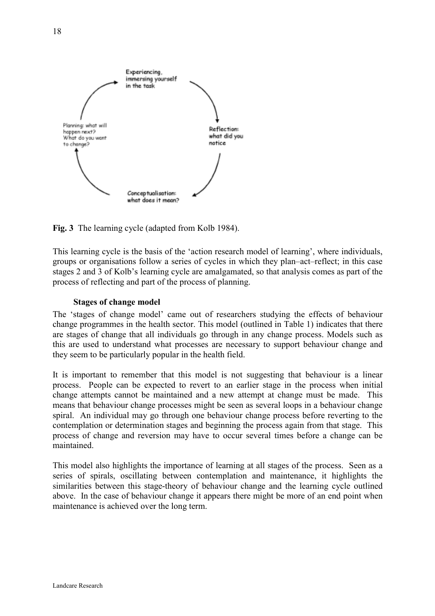

**Fig. 3** The learning cycle (adapted from Kolb 1984).

This learning cycle is the basis of the 'action research model of learning', where individuals, groups or organisations follow a series of cycles in which they plan–act–reflect; in this case stages 2 and 3 of Kolb's learning cycle are amalgamated, so that analysis comes as part of the process of reflecting and part of the process of planning.

## **Stages of change model**

The 'stages of change model' came out of researchers studying the effects of behaviour change programmes in the health sector. This model (outlined in Table 1) indicates that there are stages of change that all individuals go through in any change process. Models such as this are used to understand what processes are necessary to support behaviour change and they seem to be particularly popular in the health field.

It is important to remember that this model is not suggesting that behaviour is a linear process. People can be expected to revert to an earlier stage in the process when initial change attempts cannot be maintained and a new attempt at change must be made. This means that behaviour change processes might be seen as several loops in a behaviour change spiral. An individual may go through one behaviour change process before reverting to the contemplation or determination stages and beginning the process again from that stage. This process of change and reversion may have to occur several times before a change can be maintained.

This model also highlights the importance of learning at all stages of the process. Seen as a series of spirals, oscillating between contemplation and maintenance, it highlights the similarities between this stage-theory of behaviour change and the learning cycle outlined above. In the case of behaviour change it appears there might be more of an end point when maintenance is achieved over the long term.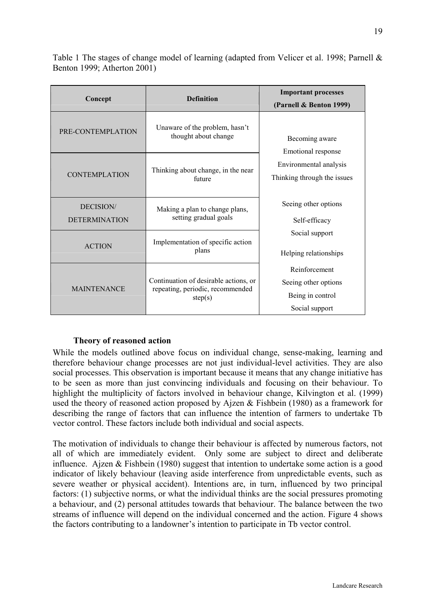Table 1 The stages of change model of learning (adapted from Velicer et al. 1998; Parnell & Benton 1999; Atherton 2001)

| Concept                           | <b>Definition</b>                                                                    | <b>Important processes</b><br>(Parnell & Benton 1999)                       |  |
|-----------------------------------|--------------------------------------------------------------------------------------|-----------------------------------------------------------------------------|--|
| PRE-CONTEMPLATION                 | Unaware of the problem, hasn't<br>thought about change                               | Becoming aware<br>Emotional response                                        |  |
| <b>CONTEMPLATION</b>              | Thinking about change, in the near<br>future                                         | Environmental analysis<br>Thinking through the issues                       |  |
| DECISION/<br><b>DETERMINATION</b> | Making a plan to change plans,<br>setting gradual goals                              | Seeing other options<br>Self-efficacy                                       |  |
| <b>ACTION</b>                     | Implementation of specific action<br>plans                                           | Social support<br>Helping relationships                                     |  |
| <b>MAINTENANCE</b>                | Continuation of desirable actions, or<br>repeating, periodic, recommended<br>step(s) | Reinforcement<br>Seeing other options<br>Being in control<br>Social support |  |

#### **Theory of reasoned action**

While the models outlined above focus on individual change, sense-making, learning and therefore behaviour change processes are not just individual-level activities. They are also social processes. This observation is important because it means that any change initiative has to be seen as more than just convincing individuals and focusing on their behaviour. To highlight the multiplicity of factors involved in behaviour change, Kilvington et al. (1999) used the theory of reasoned action proposed by Ajzen & Fishbein (1980) as a framework for describing the range of factors that can influence the intention of farmers to undertake Tb vector control. These factors include both individual and social aspects.

The motivation of individuals to change their behaviour is affected by numerous factors, not all of which are immediately evident. Only some are subject to direct and deliberate influence. Ajzen & Fishbein (1980) suggest that intention to undertake some action is a good indicator of likely behaviour (leaving aside interference from unpredictable events, such as severe weather or physical accident). Intentions are, in turn, influenced by two principal factors: (1) subjective norms, or what the individual thinks are the social pressures promoting a behaviour, and (2) personal attitudes towards that behaviour. The balance between the two streams of influence will depend on the individual concerned and the action. Figure 4 shows the factors contributing to a landowner's intention to participate in Tb vector control.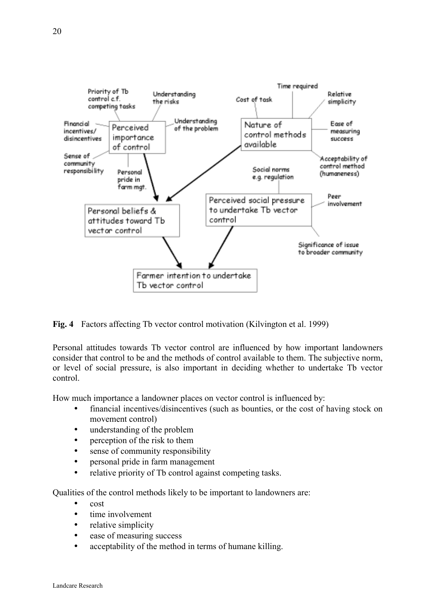

**Fig. 4** Factors affecting Tb vector control motivation (Kilvington et al. 1999)

Personal attitudes towards Tb vector control are influenced by how important landowners consider that control to be and the methods of control available to them. The subjective norm, or level of social pressure, is also important in deciding whether to undertake Tb vector control.

How much importance a landowner places on vector control is influenced by:

- financial incentives/disincentives (such as bounties, or the cost of having stock on movement control)
- understanding of the problem
- perception of the risk to them
- sense of community responsibility
- personal pride in farm management
- relative priority of Tb control against competing tasks.

Qualities of the control methods likely to be important to landowners are:

- cost
- time involvement
- relative simplicity
- ease of measuring success
- acceptability of the method in terms of humane killing.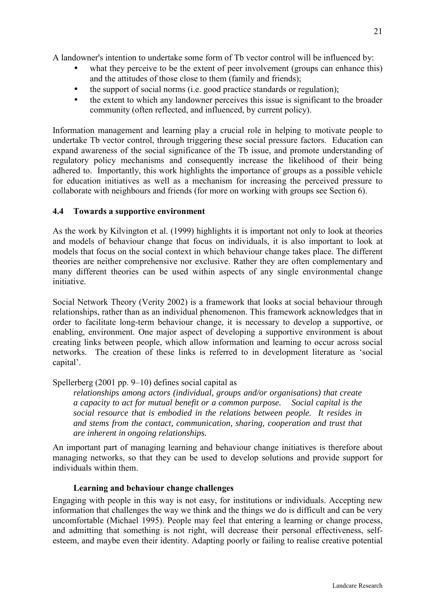<span id="page-20-0"></span>A landowner's intention to undertake some form of Tb vector control will be influenced by:

- what they perceive to be the extent of peer involvement (groups can enhance this) and the attitudes of those close to them (family and friends);
- the support of social norms (i.e. good practice standards or regulation);
- the extent to which any landowner perceives this issue is significant to the broader community (often reflected, and influenced, by current policy).

Information management and learning play a crucial role in helping to motivate people to undertake Tb vector control, through triggering these social pressure factors. Education can expand awareness of the social significance of the Tb issue, and promote understanding of regulatory policy mechanisms and consequently increase the likelihood of their being adhered to. Importantly, this work highlights the importance of groups as a possible vehicle for education initiatives as well as a mechanism for increasing the perceived pressure to collaborate with neighbours and friends (for more on working with groups see Section 6).

## **4.4 Towards a supportive environment**

As the work by Kilvington et al. (1999) highlights it is important not only to look at theories and models of behaviour change that focus on individuals, it is also important to look at models that focus on the social context in which behaviour change takes place. The different theories are neither comprehensive nor exclusive. Rather they are often complementary and many different theories can be used within aspects of any single environmental change initiative.

Social Network Theory (Verity 2002) is a framework that looks at social behaviour through relationships, rather than as an individual phenomenon. This framework acknowledges that in order to facilitate long-term behaviour change, it is necessary to develop a supportive, or enabling, environment. One major aspect of developing a supportive environment is about creating links between people, which allow information and learning to occur across social networks. The creation of these links is referred to in development literature as 'social capital'.

Spellerberg (2001 pp. 9–10) defines social capital as

*relationships among actors (individual, groups and/or organisations) that create a capacity to act for mutual benefit or a common purpose. Social capital is the social resource that is embodied in the relations between people. It resides in and stems from the contact, communication, sharing, cooperation and trust that are inherent in ongoing relationships.* 

An important part of managing learning and behaviour change initiatives is therefore about managing networks, so that they can be used to develop solutions and provide support for individuals within them.

#### **Learning and behaviour change challenges**

Engaging with people in this way is not easy, for institutions or individuals. Accepting new information that challenges the way we think and the things we do is difficult and can be very uncomfortable (Michael 1995). People may feel that entering a learning or change process, and admitting that something is not right, will decrease their personal effectiveness, selfesteem, and maybe even their identity. Adapting poorly or failing to realise creative potential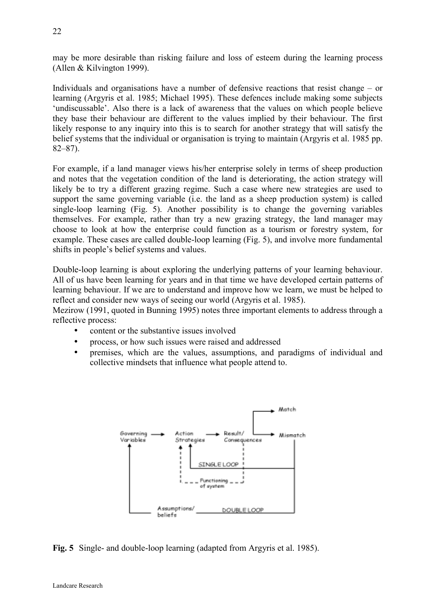may be more desirable than risking failure and loss of esteem during the learning process (Allen & Kilvington 1999).

Individuals and organisations have a number of defensive reactions that resist change – or learning (Argyris et al. 1985; Michael 1995). These defences include making some subjects 'undiscussable'. Also there is a lack of awareness that the values on which people believe they base their behaviour are different to the values implied by their behaviour. The first likely response to any inquiry into this is to search for another strategy that will satisfy the belief systems that the individual or organisation is trying to maintain (Argyris et al. 1985 pp. 82–87).

For example, if a land manager views his/her enterprise solely in terms of sheep production and notes that the vegetation condition of the land is deteriorating, the action strategy will likely be to try a different grazing regime. Such a case where new strategies are used to support the same governing variable (i.e. the land as a sheep production system) is called single-loop learning (Fig. 5). Another possibility is to change the governing variables themselves. For example, rather than try a new grazing strategy, the land manager may choose to look at how the enterprise could function as a tourism or forestry system, for example. These cases are called double-loop learning (Fig. 5), and involve more fundamental shifts in people's belief systems and values.

Double-loop learning is about exploring the underlying patterns of your learning behaviour. All of us have been learning for years and in that time we have developed certain patterns of learning behaviour. If we are to understand and improve how we learn, we must be helped to reflect and consider new ways of seeing our world (Argyris et al. 1985).

Mezirow (1991, quoted in Bunning 1995) notes three important elements to address through a reflective process:

- content or the substantive issues involved
- process, or how such issues were raised and addressed
- premises, which are the values, assumptions, and paradigms of individual and collective mindsets that influence what people attend to.



**Fig. 5** Single- and double-loop learning (adapted from Argyris et al. 1985).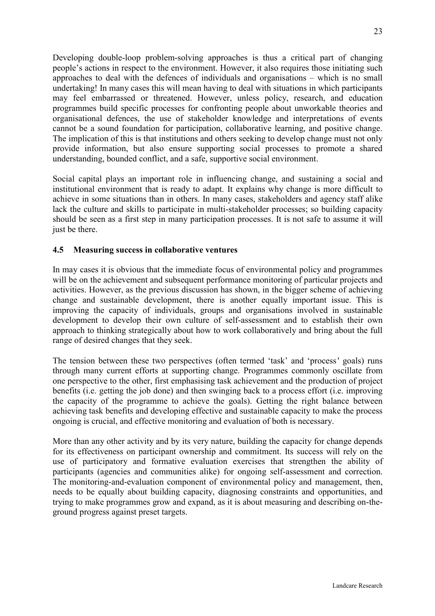<span id="page-22-0"></span>Developing double-loop problem-solving approaches is thus a critical part of changing people's actions in respect to the environment. However, it also requires those initiating such approaches to deal with the defences of individuals and organisations – which is no small undertaking! In many cases this will mean having to deal with situations in which participants may feel embarrassed or threatened. However, unless policy, research, and education programmes build specific processes for confronting people about unworkable theories and organisational defences, the use of stakeholder knowledge and interpretations of events cannot be a sound foundation for participation, collaborative learning, and positive change. The implication of this is that institutions and others seeking to develop change must not only provide information, but also ensure supporting social processes to promote a shared understanding, bounded conflict, and a safe, supportive social environment.

Social capital plays an important role in influencing change, and sustaining a social and institutional environment that is ready to adapt. It explains why change is more difficult to achieve in some situations than in others. In many cases, stakeholders and agency staff alike lack the culture and skills to participate in multi-stakeholder processes; so building capacity should be seen as a first step in many participation processes. It is not safe to assume it will just be there.

## **4.5 Measuring success in collaborative ventures**

In may cases it is obvious that the immediate focus of environmental policy and programmes will be on the achievement and subsequent performance monitoring of particular projects and activities. However, as the previous discussion has shown, in the bigger scheme of achieving change and sustainable development, there is another equally important issue. This is improving the capacity of individuals, groups and organisations involved in sustainable development to develop their own culture of self-assessment and to establish their own approach to thinking strategically about how to work collaboratively and bring about the full range of desired changes that they seek.

The tension between these two perspectives (often termed 'task' and 'process*'* goals) runs through many current efforts at supporting change. Programmes commonly oscillate from one perspective to the other, first emphasising task achievement and the production of project benefits (i.e. getting the job done) and then swinging back to a process effort (i.e. improving the capacity of the programme to achieve the goals). Getting the right balance between achieving task benefits and developing effective and sustainable capacity to make the process ongoing is crucial, and effective monitoring and evaluation of both is necessary.

More than any other activity and by its very nature, building the capacity for change depends for its effectiveness on participant ownership and commitment. Its success will rely on the use of participatory and formative evaluation exercises that strengthen the ability of participants (agencies and communities alike) for ongoing self-assessment and correction. The monitoring-and-evaluation component of environmental policy and management, then, needs to be equally about building capacity, diagnosing constraints and opportunities, and trying to make programmes grow and expand, as it is about measuring and describing on-theground progress against preset targets.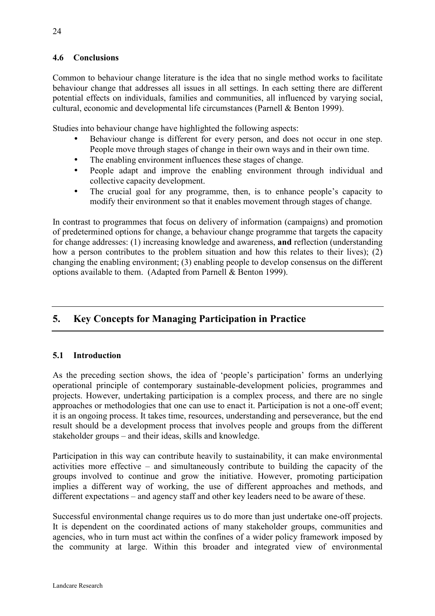## <span id="page-23-0"></span>**4.6 Conclusions**

Common to behaviour change literature is the idea that no single method works to facilitate behaviour change that addresses all issues in all settings. In each setting there are different potential effects on individuals, families and communities, all influenced by varying social, cultural, economic and developmental life circumstances (Parnell & Benton 1999).

Studies into behaviour change have highlighted the following aspects:

- Behaviour change is different for every person, and does not occur in one step. People move through stages of change in their own ways and in their own time.
- The enabling environment influences these stages of change.
- People adapt and improve the enabling environment through individual and collective capacity development.
- The crucial goal for any programme, then, is to enhance people's capacity to modify their environment so that it enables movement through stages of change.

In contrast to programmes that focus on delivery of information (campaigns) and promotion of predetermined options for change, a behaviour change programme that targets the capacity for change addresses: (1) increasing knowledge and awareness, **and** reflection (understanding how a person contributes to the problem situation and how this relates to their lives); (2) changing the enabling environment; (3) enabling people to develop consensus on the different options available to them. (Adapted from Parnell & Benton 1999).

## **5. Key Concepts for Managing Participation in Practice**

## **5.1 Introduction**

As the preceding section shows, the idea of 'people's participation' forms an underlying operational principle of contemporary sustainable-development policies, programmes and projects. However, undertaking participation is a complex process, and there are no single approaches or methodologies that one can use to enact it. Participation is not a one-off event; it is an ongoing process. It takes time, resources, understanding and perseverance, but the end result should be a development process that involves people and groups from the different stakeholder groups – and their ideas, skills and knowledge.

Participation in this way can contribute heavily to sustainability, it can make environmental activities more effective – and simultaneously contribute to building the capacity of the groups involved to continue and grow the initiative. However, promoting participation implies a different way of working, the use of different approaches and methods, and different expectations – and agency staff and other key leaders need to be aware of these.

Successful environmental change requires us to do more than just undertake one-off projects. It is dependent on the coordinated actions of many stakeholder groups, communities and agencies, who in turn must act within the confines of a wider policy framework imposed by the community at large. Within this broader and integrated view of environmental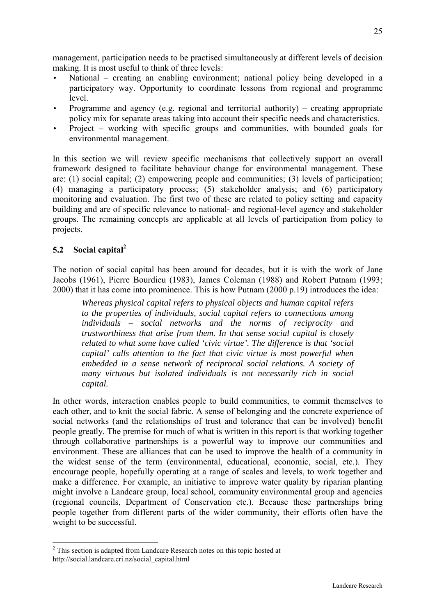<span id="page-24-0"></span>management, participation needs to be practised simultaneously at different levels of decision making. It is most useful to think of three levels:

- National creating an enabling environment; national policy being developed in a participatory way. Opportunity to coordinate lessons from regional and programme level.
- Programme and agency (e.g. regional and territorial authority) creating appropriate policy mix for separate areas taking into account their specific needs and characteristics.
- Project working with specific groups and communities, with bounded goals for environmental management.

In this section we will review specific mechanisms that collectively support an overall framework designed to facilitate behaviour change for environmental management. These are: (1) social capital; (2) empowering people and communities; (3) levels of participation; (4) managing a participatory process; (5) stakeholder analysis; and (6) participatory monitoring and evaluation. The first two of these are related to policy setting and capacity building and are of specific relevance to national- and regional-level agency and stakeholder groups. The remaining concepts are applicable at all levels of participation from policy to projects.

## **5.2 Social capital2**

 $\overline{a}$ 

The notion of social capital has been around for decades, but it is with the work of Jane Jacobs (1961), Pierre Bourdieu (1983), James Coleman (1988) and Robert Putnam (1993; 2000) that it has come into prominence. This is how Putnam (2000 p.19) introduces the idea:

*Whereas physical capital refers to physical objects and human capital refers to the properties of individuals, social capital refers to connections among individuals – social networks and the norms of reciprocity and trustworthiness that arise from them. In that sense social capital is closely related to what some have called 'civic virtue'. The difference is that 'social capital' calls attention to the fact that civic virtue is most powerful when embedded in a sense network of reciprocal social relations. A society of many virtuous but isolated individuals is not necessarily rich in social capital.* 

In other words, interaction enables people to build communities, to commit themselves to each other, and to knit the social fabric. A sense of belonging and the concrete experience of social networks (and the relationships of trust and tolerance that can be involved) benefit people greatly. The premise for much of what is written in this report is that working together through collaborative partnerships is a powerful way to improve our communities and environment. These are alliances that can be used to improve the health of a community in the widest sense of the term (environmental, educational, economic, social, etc.). They encourage people, hopefully operating at a range of scales and levels, to work together and make a difference. For example, an initiative to improve water quality by riparian planting might involve a Landcare group, local school, community environmental group and agencies (regional councils, Department of Conservation etc.). Because these partnerships bring people together from different parts of the wider community, their efforts often have the weight to be successful.

 $2^2$  This section is adapted from Landcare Research notes on this topic hosted at http://social.landcare.cri.nz/social\_capital.html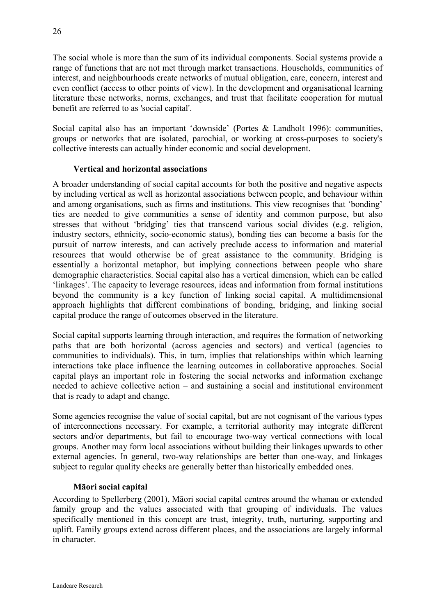The social whole is more than the sum of its individual components. Social systems provide a range of functions that are not met through market transactions. Households, communities of interest, and neighbourhoods create networks of mutual obligation, care, concern, interest and even conflict (access to other points of view). In the development and organisational learning literature these networks, norms, exchanges, and trust that facilitate cooperation for mutual benefit are referred to as 'social capital'.

Social capital also has an important 'downside' (Portes & Landholt 1996): communities, groups or networks that are isolated, parochial, or working at cross-purposes to society's collective interests can actually hinder economic and social development.

## **Vertical and horizontal associations**

A broader understanding of social capital accounts for both the positive and negative aspects by including vertical as well as horizontal associations between people, and behaviour within and among organisations, such as firms and institutions. This view recognises that 'bonding' ties are needed to give communities a sense of identity and common purpose, but also stresses that without 'bridging' ties that transcend various social divides (e.g. religion, industry sectors, ethnicity, socio-economic status), bonding ties can become a basis for the pursuit of narrow interests, and can actively preclude access to information and material resources that would otherwise be of great assistance to the community. Bridging is essentially a horizontal metaphor, but implying connections between people who share demographic characteristics. Social capital also has a vertical dimension, which can be called 'linkages'. The capacity to leverage resources, ideas and information from formal institutions beyond the community is a key function of linking social capital. A multidimensional approach highlights that different combinations of bonding, bridging, and linking social capital produce the range of outcomes observed in the literature.

Social capital supports learning through interaction, and requires the formation of networking paths that are both horizontal (across agencies and sectors) and vertical (agencies to communities to individuals). This, in turn, implies that relationships within which learning interactions take place influence the learning outcomes in collaborative approaches. Social capital plays an important role in fostering the social networks and information exchange needed to achieve collective action – and sustaining a social and institutional environment that is ready to adapt and change.

Some agencies recognise the value of social capital, but are not cognisant of the various types of interconnections necessary. For example, a territorial authority may integrate different sectors and/or departments, but fail to encourage two-way vertical connections with local groups. Another may form local associations without building their linkages upwards to other external agencies. In general, two-way relationships are better than one-way, and linkages subject to regular quality checks are generally better than historically embedded ones.

#### **Māori social capital**

According to Spellerberg (2001), Māori social capital centres around the whanau or extended family group and the values associated with that grouping of individuals. The values specifically mentioned in this concept are trust, integrity, truth, nurturing, supporting and uplift. Family groups extend across different places, and the associations are largely informal in character.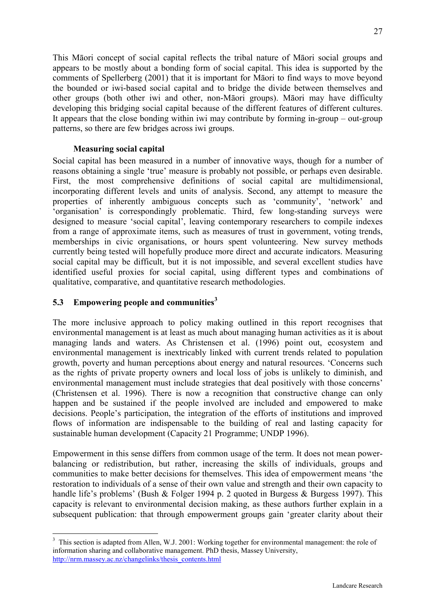<span id="page-26-0"></span>This Māori concept of social capital reflects the tribal nature of Māori social groups and appears to be mostly about a bonding form of social capital. This idea is supported by the comments of Spellerberg (2001) that it is important for Māori to find ways to move beyond the bounded or iwi-based social capital and to bridge the divide between themselves and other groups (both other iwi and other, non-Māori groups). Māori may have difficulty developing this bridging social capital because of the different features of different cultures. It appears that the close bonding within iwi may contribute by forming in-group – out-group patterns, so there are few bridges across iwi groups.

## **Measuring social capital**

Social capital has been measured in a number of innovative ways, though for a number of reasons obtaining a single 'true' measure is probably not possible, or perhaps even desirable. First, the most comprehensive definitions of social capital are multidimensional, incorporating different levels and units of analysis. Second, any attempt to measure the properties of inherently ambiguous concepts such as 'community', 'network' and 'organisation' is correspondingly problematic. Third, few long-standing surveys were designed to measure 'social capital', leaving contemporary researchers to compile indexes from a range of approximate items, such as measures of trust in government, voting trends, memberships in civic organisations, or hours spent volunteering. New survey methods currently being tested will hopefully produce more direct and accurate indicators. Measuring social capital may be difficult, but it is not impossible, and several excellent studies have identified useful proxies for social capital, using different types and combinations of qualitative, comparative, and quantitative research methodologies.

## **5.3 Empowering people and communities<sup>3</sup>**

 $\overline{a}$ 

The more inclusive approach to policy making outlined in this report recognises that environmental management is at least as much about managing human activities as it is about managing lands and waters. As Christensen et al. (1996) point out, ecosystem and environmental management is inextricably linked with current trends related to population growth, poverty and human perceptions about energy and natural resources. 'Concerns such as the rights of private property owners and local loss of jobs is unlikely to diminish, and environmental management must include strategies that deal positively with those concerns' (Christensen et al. 1996). There is now a recognition that constructive change can only happen and be sustained if the people involved are included and empowered to make decisions. People's participation, the integration of the efforts of institutions and improved flows of information are indispensable to the building of real and lasting capacity for sustainable human development (Capacity 21 Programme; UNDP 1996).

Empowerment in this sense differs from common usage of the term. It does not mean powerbalancing or redistribution, but rather, increasing the skills of individuals, groups and communities to make better decisions for themselves. This idea of empowerment means 'the restoration to individuals of a sense of their own value and strength and their own capacity to handle life's problems' (Bush & Folger 1994 p. 2 quoted in Burgess & Burgess 1997). This capacity is relevant to environmental decision making, as these authors further explain in a subsequent publication: that through empowerment groups gain 'greater clarity about their

 $3$  This section is adapted from Allen, W.J. 2001: Working together for environmental management: the role of information sharing and collaborative management. PhD thesis, Massey University, http://nrm.massey.ac.nz/changelinks/thesis\_contents.html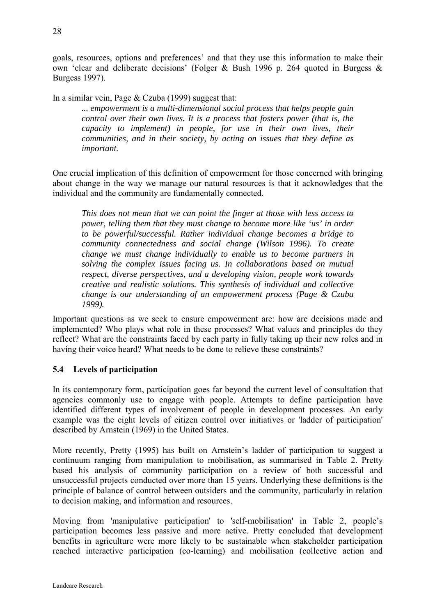<span id="page-27-0"></span>goals, resources, options and preferences' and that they use this information to make their own 'clear and deliberate decisions' (Folger & Bush 1996 p. 264 quoted in Burgess & Burgess 1997).

In a similar vein, Page & Czuba (1999) suggest that:

*... empowerment is a multi-dimensional social process that helps people gain control over their own lives. It is a process that fosters power (that is, the capacity to implement) in people, for use in their own lives, their communities, and in their society, by acting on issues that they define as important.* 

One crucial implication of this definition of empowerment for those concerned with bringing about change in the way we manage our natural resources is that it acknowledges that the individual and the community are fundamentally connected.

*This does not mean that we can point the finger at those with less access to power, telling them that they must change to become more like 'us' in order to be powerful/successful. Rather individual change becomes a bridge to community connectedness and social change (Wilson 1996). To create change we must change individually to enable us to become partners in solving the complex issues facing us. In collaborations based on mutual respect, diverse perspectives, and a developing vision, people work towards creative and realistic solutions. This synthesis of individual and collective change is our understanding of an empowerment process (Page & Czuba 1999).* 

Important questions as we seek to ensure empowerment are: how are decisions made and implemented? Who plays what role in these processes? What values and principles do they reflect? What are the constraints faced by each party in fully taking up their new roles and in having their voice heard? What needs to be done to relieve these constraints?

#### **5.4 Levels of participation**

In its contemporary form, participation goes far beyond the current level of consultation that agencies commonly use to engage with people. Attempts to define participation have identified different types of involvement of people in development processes. An early example was the eight levels of citizen control over initiatives or 'ladder of participation' described by Arnstein (1969) in the United States.

More recently, Pretty (1995) has built on Arnstein's ladder of participation to suggest a continuum ranging from manipulation to mobilisation, as summarised in Table 2. Pretty based his analysis of community participation on a review of both successful and unsuccessful projects conducted over more than 15 years. Underlying these definitions is the principle of balance of control between outsiders and the community, particularly in relation to decision making, and information and resources.

Moving from 'manipulative participation' to 'self-mobilisation' in Table 2, people's participation becomes less passive and more active. Pretty concluded that development benefits in agriculture were more likely to be sustainable when stakeholder participation reached interactive participation (co-learning) and mobilisation (collective action and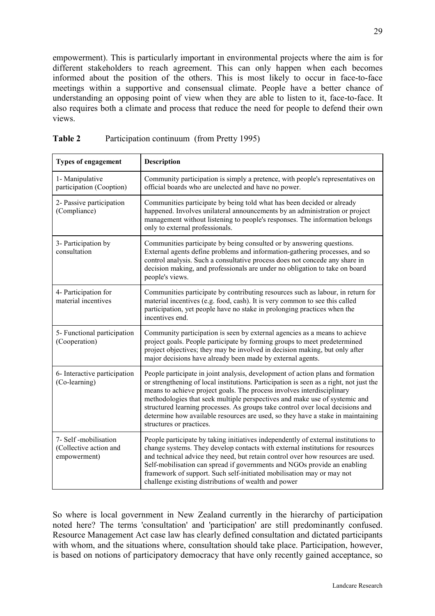empowerment). This is particularly important in environmental projects where the aim is for different stakeholders to reach agreement. This can only happen when each becomes informed about the position of the others. This is most likely to occur in face-to-face meetings within a supportive and consensual climate. People have a better chance of understanding an opposing point of view when they are able to listen to it, face-to-face. It also requires both a climate and process that reduce the need for people to defend their own views.

| <b>Types of engagement</b>                                     | <b>Description</b>                                                                                                                                                                                                                                                                                                                                                                                                                                                                                                                 |
|----------------------------------------------------------------|------------------------------------------------------------------------------------------------------------------------------------------------------------------------------------------------------------------------------------------------------------------------------------------------------------------------------------------------------------------------------------------------------------------------------------------------------------------------------------------------------------------------------------|
| 1- Manipulative<br>participation (Cooption)                    | Community participation is simply a pretence, with people's representatives on<br>official boards who are unelected and have no power.                                                                                                                                                                                                                                                                                                                                                                                             |
| 2- Passive participation<br>(Compliance)                       | Communities participate by being told what has been decided or already<br>happened. Involves unilateral announcements by an administration or project<br>management without listening to people's responses. The information belongs<br>only to external professionals.                                                                                                                                                                                                                                                            |
| 3- Participation by<br>consultation                            | Communities participate by being consulted or by answering questions.<br>External agents define problems and information-gathering processes, and so<br>control analysis. Such a consultative process does not concede any share in<br>decision making, and professionals are under no obligation to take on board<br>people's views.                                                                                                                                                                                              |
| 4- Participation for<br>material incentives                    | Communities participate by contributing resources such as labour, in return for<br>material incentives (e.g. food, cash). It is very common to see this called<br>participation, yet people have no stake in prolonging practices when the<br>incentives end.                                                                                                                                                                                                                                                                      |
| 5- Functional participation<br>(Cooperation)                   | Community participation is seen by external agencies as a means to achieve<br>project goals. People participate by forming groups to meet predetermined<br>project objectives; they may be involved in decision making, but only after<br>major decisions have already been made by external agents.                                                                                                                                                                                                                               |
| 6- Interactive participation<br>(Co-learning)                  | People participate in joint analysis, development of action plans and formation<br>or strengthening of local institutions. Participation is seen as a right, not just the<br>means to achieve project goals. The process involves interdisciplinary<br>methodologies that seek multiple perspectives and make use of systemic and<br>structured learning processes. As groups take control over local decisions and<br>determine how available resources are used, so they have a stake in maintaining<br>structures or practices. |
| 7- Self-mobilisation<br>(Collective action and<br>empowerment) | People participate by taking initiatives independently of external institutions to<br>change systems. They develop contacts with external institutions for resources<br>and technical advice they need, but retain control over how resources are used.<br>Self-mobilisation can spread if governments and NGOs provide an enabling<br>framework of support. Such self-initiated mobilisation may or may not<br>challenge existing distributions of wealth and power                                                               |

| <b>Table 2</b> | Participation continuum (from Pretty 1995) |  |
|----------------|--------------------------------------------|--|
|----------------|--------------------------------------------|--|

So where is local government in New Zealand currently in the hierarchy of participation noted here? The terms 'consultation' and 'participation' are still predominantly confused. Resource Management Act case law has clearly defined consultation and dictated participants with whom, and the situations where, consultation should take place. Participation, however, is based on notions of participatory democracy that have only recently gained acceptance, so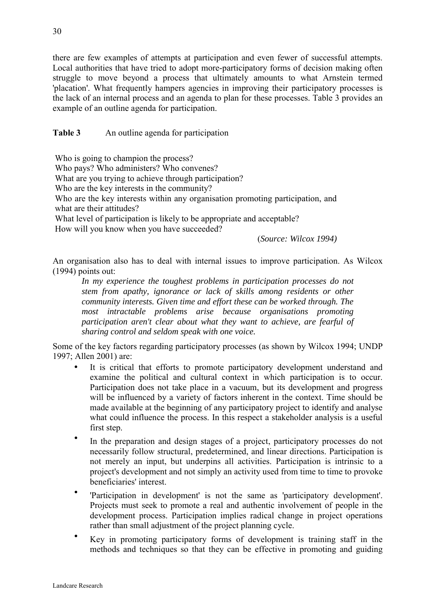there are few examples of attempts at participation and even fewer of successful attempts. Local authorities that have tried to adopt more-participatory forms of decision making often struggle to move beyond a process that ultimately amounts to what Arnstein termed 'placation'. What frequently hampers agencies in improving their participatory processes is the lack of an internal process and an agenda to plan for these processes. Table 3 provides an example of an outline agenda for participation.

**Table 3** An outline agenda for participation

Who is going to champion the process?

Who pays? Who administers? Who convenes?

What are you trying to achieve through participation?

Who are the key interests in the community?

Who are the key interests within any organisation promoting participation, and what are their attitudes?

What level of participation is likely to be appropriate and acceptable?

How will you know when you have succeeded?

(*Source: Wilcox 1994)* 

An organisation also has to deal with internal issues to improve participation. As Wilcox (1994) points out:

*In my experience the toughest problems in participation processes do not stem from apathy, ignorance or lack of skills among residents or other community interests. Given time and effort these can be worked through. The most intractable problems arise because organisations promoting participation aren't clear about what they want to achieve, are fearful of sharing control and seldom speak with one voice.* 

Some of the key factors regarding participatory processes (as shown by Wilcox 1994; UNDP 1997; Allen 2001) are:

- It is critical that efforts to promote participatory development understand and examine the political and cultural context in which participation is to occur. Participation does not take place in a vacuum, but its development and progress will be influenced by a variety of factors inherent in the context. Time should be made available at the beginning of any participatory project to identify and analyse what could influence the process. In this respect a stakeholder analysis is a useful first step.
- In the preparation and design stages of a project, participatory processes do not necessarily follow structural, predetermined, and linear directions. Participation is not merely an input, but underpins all activities. Participation is intrinsic to a project's development and not simply an activity used from time to time to provoke beneficiaries' interest.
- 'Participation in development' is not the same as 'participatory development'. Projects must seek to promote a real and authentic involvement of people in the development process. Participation implies radical change in project operations rather than small adjustment of the project planning cycle.
- Key in promoting participatory forms of development is training staff in the methods and techniques so that they can be effective in promoting and guiding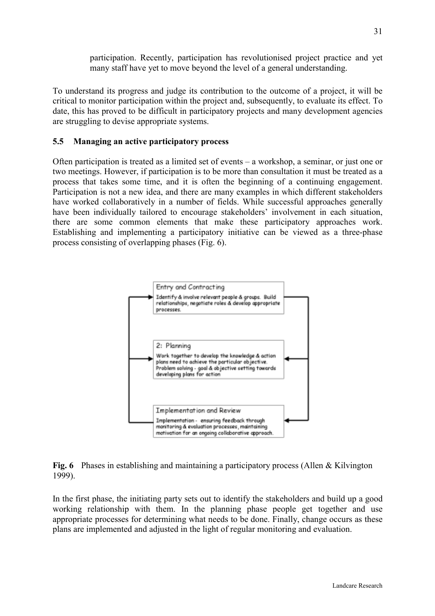participation. Recently, participation has revolutionised project practice and yet many staff have yet to move beyond the level of a general understanding.

<span id="page-30-0"></span>To understand its progress and judge its contribution to the outcome of a project, it will be critical to monitor participation within the project and, subsequently, to evaluate its effect. To date, this has proved to be difficult in participatory projects and many development agencies are struggling to devise appropriate systems.

#### **5.5 Managing an active participatory process**

Often participation is treated as a limited set of events – a workshop, a seminar, or just one or two meetings. However, if participation is to be more than consultation it must be treated as a process that takes some time, and it is often the beginning of a continuing engagement. Participation is not a new idea, and there are many examples in which different stakeholders have worked collaboratively in a number of fields. While successful approaches generally have been individually tailored to encourage stakeholders' involvement in each situation, there are some common elements that make these participatory approaches work. Establishing and implementing a participatory initiative can be viewed as a three-phase process consisting of overlapping phases (Fig. 6).



**Fig. 6** Phases in establishing and maintaining a participatory process (Allen & Kilvington 1999).

In the first phase, the initiating party sets out to identify the stakeholders and build up a good working relationship with them. In the planning phase people get together and use appropriate processes for determining what needs to be done. Finally, change occurs as these plans are implemented and adjusted in the light of regular monitoring and evaluation.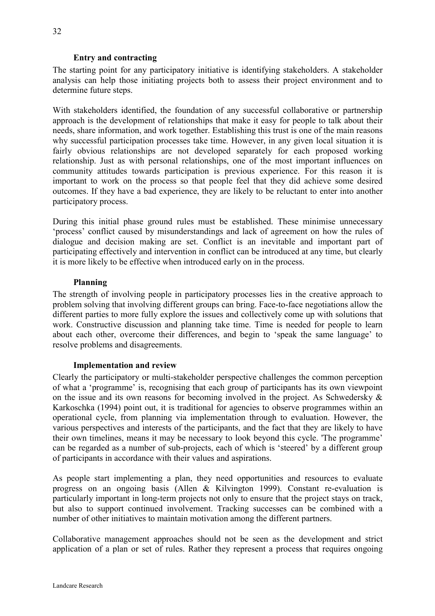## **Entry and contracting**

The starting point for any participatory initiative is identifying stakeholders. A stakeholder analysis can help those initiating projects both to assess their project environment and to determine future steps.

With stakeholders identified, the foundation of any successful collaborative or partnership approach is the development of relationships that make it easy for people to talk about their needs, share information, and work together. Establishing this trust is one of the main reasons why successful participation processes take time. However, in any given local situation it is fairly obvious relationships are not developed separately for each proposed working relationship. Just as with personal relationships, one of the most important influences on community attitudes towards participation is previous experience. For this reason it is important to work on the process so that people feel that they did achieve some desired outcomes. If they have a bad experience, they are likely to be reluctant to enter into another participatory process.

During this initial phase ground rules must be established. These minimise unnecessary 'process' conflict caused by misunderstandings and lack of agreement on how the rules of dialogue and decision making are set. Conflict is an inevitable and important part of participating effectively and intervention in conflict can be introduced at any time, but clearly it is more likely to be effective when introduced early on in the process.

## **Planning**

The strength of involving people in participatory processes lies in the creative approach to problem solving that involving different groups can bring. Face-to-face negotiations allow the different parties to more fully explore the issues and collectively come up with solutions that work. Constructive discussion and planning take time. Time is needed for people to learn about each other, overcome their differences, and begin to 'speak the same language' to resolve problems and disagreements.

#### **Implementation and review**

Clearly the participatory or multi-stakeholder perspective challenges the common perception of what a 'programme' is, recognising that each group of participants has its own viewpoint on the issue and its own reasons for becoming involved in the project. As Schwedersky  $\&$ Karkoschka (1994) point out, it is traditional for agencies to observe programmes within an operational cycle, from planning via implementation through to evaluation. However, the various perspectives and interests of the participants, and the fact that they are likely to have their own timelines, means it may be necessary to look beyond this cycle. 'The programme' can be regarded as a number of sub-projects, each of which is 'steered' by a different group of participants in accordance with their values and aspirations.

As people start implementing a plan, they need opportunities and resources to evaluate progress on an ongoing basis (Allen & Kilvington 1999). Constant re-evaluation is particularly important in long-term projects not only to ensure that the project stays on track, but also to support continued involvement. Tracking successes can be combined with a number of other initiatives to maintain motivation among the different partners.

Collaborative management approaches should not be seen as the development and strict application of a plan or set of rules. Rather they represent a process that requires ongoing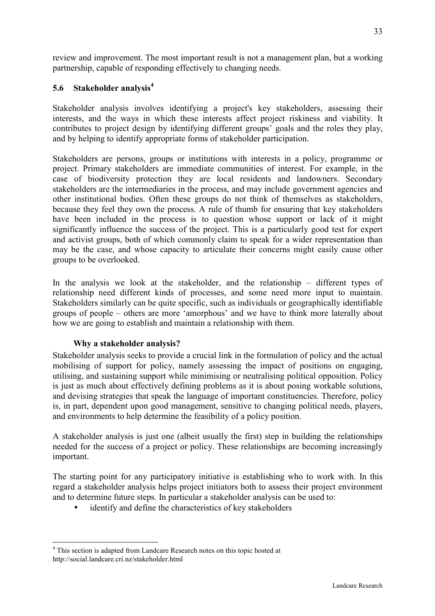<span id="page-32-0"></span>review and improvement. The most important result is not a management plan, but a working partnership, capable of responding effectively to changing needs.

## **5.6 Stakeholder analysis4**

Stakeholder analysis involves identifying a project's key stakeholders, assessing their interests, and the ways in which these interests affect project riskiness and viability. It contributes to project design by identifying different groups' goals and the roles they play, and by helping to identify appropriate forms of stakeholder participation.

Stakeholders are persons, groups or institutions with interests in a policy, programme or project. Primary stakeholders are immediate communities of interest. For example, in the case of biodiversity protection they are local residents and landowners. Secondary stakeholders are the intermediaries in the process, and may include government agencies and other institutional bodies. Often these groups do not think of themselves as stakeholders, because they feel they own the process. A rule of thumb for ensuring that key stakeholders have been included in the process is to question whose support or lack of it might significantly influence the success of the project. This is a particularly good test for expert and activist groups, both of which commonly claim to speak for a wider representation than may be the case, and whose capacity to articulate their concerns might easily cause other groups to be overlooked.

In the analysis we look at the stakeholder, and the relationship – different types of relationship need different kinds of processes, and some need more input to maintain. Stakeholders similarly can be quite specific, such as individuals or geographically identifiable groups of people – others are more 'amorphous' and we have to think more laterally about how we are going to establish and maintain a relationship with them.

## **Why a stakeholder analysis?**

Stakeholder analysis seeks to provide a crucial link in the formulation of policy and the actual mobilising of support for policy, namely assessing the impact of positions on engaging, utilising, and sustaining support while minimising or neutralising political opposition. Policy is just as much about effectively defining problems as it is about posing workable solutions, and devising strategies that speak the language of important constituencies. Therefore, policy is, in part, dependent upon good management, sensitive to changing political needs, players, and environments to help determine the feasibility of a policy position.

A stakeholder analysis is just one (albeit usually the first) step in building the relationships needed for the success of a project or policy. These relationships are becoming increasingly important.

The starting point for any participatory initiative is establishing who to work with. In this regard a stakeholder analysis helps project initiators both to assess their project environment and to determine future steps. In particular a stakeholder analysis can be used to:

identify and define the characteristics of key stakeholders

 $\overline{a}$ <sup>4</sup> This section is adapted from Landcare Research notes on this topic hosted at http://social.landcare.cri.nz/stakeholder.html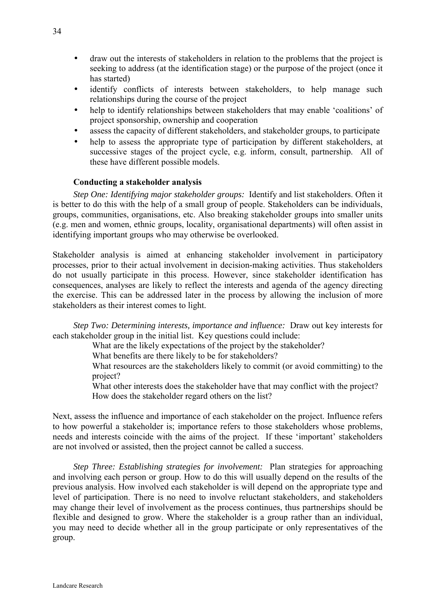- draw out the interests of stakeholders in relation to the problems that the project is seeking to address (at the identification stage) or the purpose of the project (once it has started)
- identify conflicts of interests between stakeholders, to help manage such relationships during the course of the project
- help to identify relationships between stakeholders that may enable 'coalitions' of project sponsorship, ownership and cooperation
- assess the capacity of different stakeholders, and stakeholder groups, to participate
- help to assess the appropriate type of participation by different stakeholders, at successive stages of the project cycle, e.g. inform, consult, partnership. All of these have different possible models.

#### **Conducting a stakeholder analysis**

 *Step One: Identifying major stakeholder groups:* Identify and list stakeholders. Often it is better to do this with the help of a small group of people. Stakeholders can be individuals, groups, communities, organisations, etc. Also breaking stakeholder groups into smaller units (e.g. men and women, ethnic groups, locality, organisational departments) will often assist in identifying important groups who may otherwise be overlooked.

Stakeholder analysis is aimed at enhancing stakeholder involvement in participatory processes, prior to their actual involvement in decision-making activities. Thus stakeholders do not usually participate in this process. However, since stakeholder identification has consequences, analyses are likely to reflect the interests and agenda of the agency directing the exercise. This can be addressed later in the process by allowing the inclusion of more stakeholders as their interest comes to light.

*Step Two: Determining interests, importance and influence:* Draw out key interests for each stakeholder group in the initial list. Key questions could include:

What are the likely expectations of the project by the stakeholder?

What benefits are there likely to be for stakeholders?

What resources are the stakeholders likely to commit (or avoid committing) to the project?

What other interests does the stakeholder have that may conflict with the project? How does the stakeholder regard others on the list?

Next, assess the influence and importance of each stakeholder on the project. Influence refers to how powerful a stakeholder is; importance refers to those stakeholders whose problems, needs and interests coincide with the aims of the project. If these 'important' stakeholders are not involved or assisted, then the project cannot be called a success.

 *Step Three: Establishing strategies for involvement:* Plan strategies for approaching and involving each person or group. How to do this will usually depend on the results of the previous analysis. How involved each stakeholder is will depend on the appropriate type and level of participation. There is no need to involve reluctant stakeholders, and stakeholders may change their level of involvement as the process continues, thus partnerships should be flexible and designed to grow. Where the stakeholder is a group rather than an individual, you may need to decide whether all in the group participate or only representatives of the group.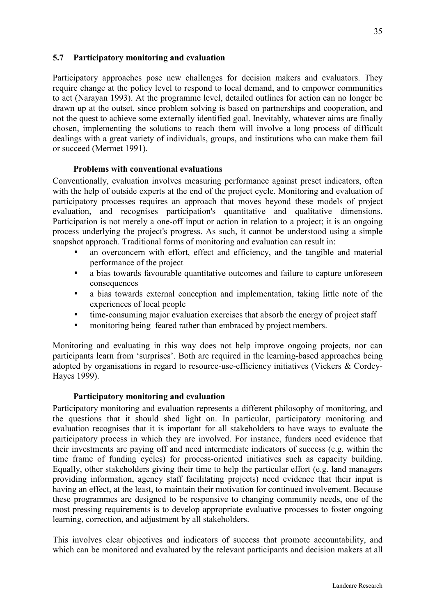#### <span id="page-34-0"></span>**5.7 Participatory monitoring and evaluation**

Participatory approaches pose new challenges for decision makers and evaluators. They require change at the policy level to respond to local demand, and to empower communities to act (Narayan 1993). At the programme level, detailed outlines for action can no longer be drawn up at the outset, since problem solving is based on partnerships and cooperation, and not the quest to achieve some externally identified goal. Inevitably, whatever aims are finally chosen, implementing the solutions to reach them will involve a long process of difficult dealings with a great variety of individuals, groups, and institutions who can make them fail or succeed (Mermet 1991).

#### **Problems with conventional evaluations**

Conventionally, evaluation involves measuring performance against preset indicators, often with the help of outside experts at the end of the project cycle. Monitoring and evaluation of participatory processes requires an approach that moves beyond these models of project evaluation, and recognises participation's quantitative and qualitative dimensions. Participation is not merely a one-off input or action in relation to a project; it is an ongoing process underlying the project's progress. As such, it cannot be understood using a simple snapshot approach. Traditional forms of monitoring and evaluation can result in:

- an overconcern with effort, effect and efficiency, and the tangible and material performance of the project
- a bias towards favourable quantitative outcomes and failure to capture unforeseen consequences
- a bias towards external conception and implementation, taking little note of the experiences of local people
- time-consuming major evaluation exercises that absorb the energy of project staff
- monitoring being feared rather than embraced by project members.

Monitoring and evaluating in this way does not help improve ongoing projects, nor can participants learn from 'surprises'. Both are required in the learning-based approaches being adopted by organisations in regard to resource-use-efficiency initiatives (Vickers & Cordey-Hayes 1999).

#### **Participatory monitoring and evaluation**

Participatory monitoring and evaluation represents a different philosophy of monitoring, and the questions that it should shed light on. In particular, participatory monitoring and evaluation recognises that it is important for all stakeholders to have ways to evaluate the participatory process in which they are involved. For instance, funders need evidence that their investments are paying off and need intermediate indicators of success (e.g. within the time frame of funding cycles) for process-oriented initiatives such as capacity building. Equally, other stakeholders giving their time to help the particular effort (e.g. land managers providing information, agency staff facilitating projects) need evidence that their input is having an effect, at the least, to maintain their motivation for continued involvement. Because these programmes are designed to be responsive to changing community needs, one of the most pressing requirements is to develop appropriate evaluative processes to foster ongoing learning, correction, and adjustment by all stakeholders.

This involves clear objectives and indicators of success that promote accountability, and which can be monitored and evaluated by the relevant participants and decision makers at all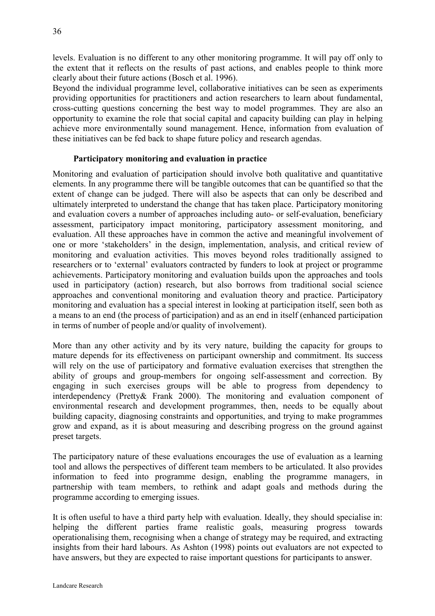levels. Evaluation is no different to any other monitoring programme. It will pay off only to the extent that it reflects on the results of past actions, and enables people to think more clearly about their future actions (Bosch et al. 1996).

Beyond the individual programme level, collaborative initiatives can be seen as experiments providing opportunities for practitioners and action researchers to learn about fundamental, cross-cutting questions concerning the best way to model programmes. They are also an opportunity to examine the role that social capital and capacity building can play in helping achieve more environmentally sound management. Hence, information from evaluation of these initiatives can be fed back to shape future policy and research agendas.

## **Participatory monitoring and evaluation in practice**

Monitoring and evaluation of participation should involve both qualitative and quantitative elements. In any programme there will be tangible outcomes that can be quantified so that the extent of change can be judged. There will also be aspects that can only be described and ultimately interpreted to understand the change that has taken place. Participatory monitoring and evaluation covers a number of approaches including auto- or self-evaluation, beneficiary assessment, participatory impact monitoring, participatory assessment monitoring, and evaluation. All these approaches have in common the active and meaningful involvement of one or more 'stakeholders' in the design, implementation, analysis, and critical review of monitoring and evaluation activities. This moves beyond roles traditionally assigned to researchers or to 'external' evaluators contracted by funders to look at project or programme achievements. Participatory monitoring and evaluation builds upon the approaches and tools used in participatory (action) research, but also borrows from traditional social science approaches and conventional monitoring and evaluation theory and practice. Participatory monitoring and evaluation has a special interest in looking at participation itself, seen both as a means to an end (the process of participation) and as an end in itself (enhanced participation in terms of number of people and/or quality of involvement).

More than any other activity and by its very nature, building the capacity for groups to mature depends for its effectiveness on participant ownership and commitment. Its success will rely on the use of participatory and formative evaluation exercises that strengthen the ability of groups and group-members for ongoing self-assessment and correction. By engaging in such exercises groups will be able to progress from dependency to interdependency (Pretty& Frank 2000). The monitoring and evaluation component of environmental research and development programmes, then, needs to be equally about building capacity, diagnosing constraints and opportunities, and trying to make programmes grow and expand, as it is about measuring and describing progress on the ground against preset targets.

The participatory nature of these evaluations encourages the use of evaluation as a learning tool and allows the perspectives of different team members to be articulated. It also provides information to feed into programme design, enabling the programme managers, in partnership with team members, to rethink and adapt goals and methods during the programme according to emerging issues.

It is often useful to have a third party help with evaluation. Ideally, they should specialise in: helping the different parties frame realistic goals, measuring progress towards operationalising them, recognising when a change of strategy may be required, and extracting insights from their hard labours. As Ashton (1998) points out evaluators are not expected to have answers, but they are expected to raise important questions for participants to answer.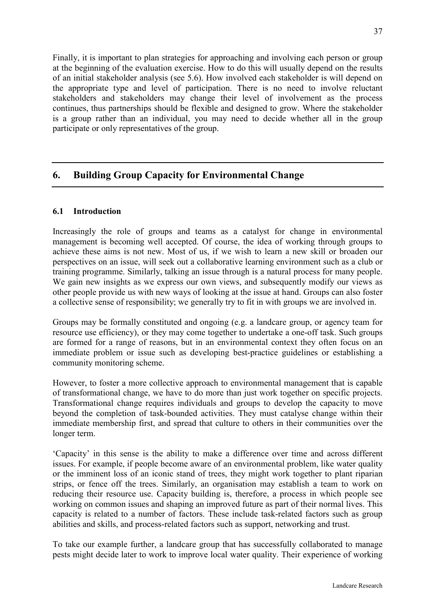<span id="page-36-0"></span>Finally, it is important to plan strategies for approaching and involving each person or group at the beginning of the evaluation exercise. How to do this will usually depend on the results of an initial stakeholder analysis (see 5.6). How involved each stakeholder is will depend on the appropriate type and level of participation. There is no need to involve reluctant stakeholders and stakeholders may change their level of involvement as the process continues, thus partnerships should be flexible and designed to grow. Where the stakeholder is a group rather than an individual, you may need to decide whether all in the group participate or only representatives of the group.

## **6. Building Group Capacity for Environmental Change**

#### **6.1 Introduction**

Increasingly the role of groups and teams as a catalyst for change in environmental management is becoming well accepted. Of course, the idea of working through groups to achieve these aims is not new. Most of us, if we wish to learn a new skill or broaden our perspectives on an issue, will seek out a collaborative learning environment such as a club or training programme. Similarly, talking an issue through is a natural process for many people. We gain new insights as we express our own views, and subsequently modify our views as other people provide us with new ways of looking at the issue at hand. Groups can also foster a collective sense of responsibility; we generally try to fit in with groups we are involved in.

Groups may be formally constituted and ongoing (e.g. a landcare group, or agency team for resource use efficiency), or they may come together to undertake a one-off task. Such groups are formed for a range of reasons, but in an environmental context they often focus on an immediate problem or issue such as developing best-practice guidelines or establishing a community monitoring scheme.

However, to foster a more collective approach to environmental management that is capable of transformational change, we have to do more than just work together on specific projects. Transformational change requires individuals and groups to develop the capacity to move beyond the completion of task-bounded activities. They must catalyse change within their immediate membership first, and spread that culture to others in their communities over the longer term.

'Capacity' in this sense is the ability to make a difference over time and across different issues. For example, if people become aware of an environmental problem, like water quality or the imminent loss of an iconic stand of trees, they might work together to plant riparian strips, or fence off the trees. Similarly, an organisation may establish a team to work on reducing their resource use. Capacity building is, therefore, a process in which people see working on common issues and shaping an improved future as part of their normal lives. This capacity is related to a number of factors. These include task-related factors such as group abilities and skills, and process-related factors such as support, networking and trust.

To take our example further, a landcare group that has successfully collaborated to manage pests might decide later to work to improve local water quality. Their experience of working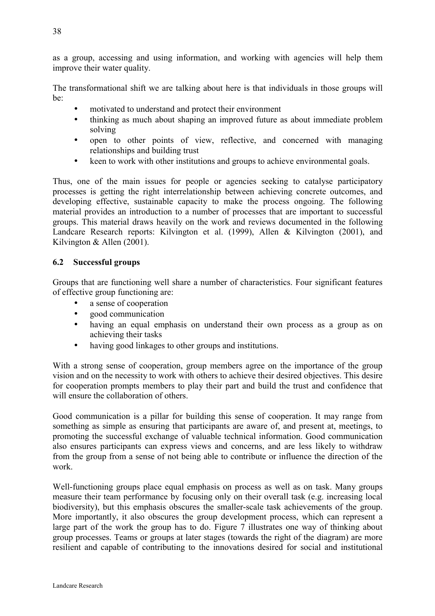<span id="page-37-0"></span>as a group, accessing and using information, and working with agencies will help them improve their water quality.

The transformational shift we are talking about here is that individuals in those groups will be:

- motivated to understand and protect their environment
- thinking as much about shaping an improved future as about immediate problem solving
- open to other points of view, reflective, and concerned with managing relationships and building trust
- keen to work with other institutions and groups to achieve environmental goals.

Thus, one of the main issues for people or agencies seeking to catalyse participatory processes is getting the right interrelationship between achieving concrete outcomes, and developing effective, sustainable capacity to make the process ongoing. The following material provides an introduction to a number of processes that are important to successful groups. This material draws heavily on the work and reviews documented in the following Landcare Research reports: Kilvington et al. (1999), Allen & Kilvington (2001), and Kilvington & Allen (2001).

## **6.2 Successful groups**

Groups that are functioning well share a number of characteristics. Four significant features of effective group functioning are:

- a sense of cooperation
- good communication
- having an equal emphasis on understand their own process as a group as on achieving their tasks
- having good linkages to other groups and institutions.

With a strong sense of cooperation, group members agree on the importance of the group vision and on the necessity to work with others to achieve their desired objectives. This desire for cooperation prompts members to play their part and build the trust and confidence that will ensure the collaboration of others.

Good communication is a pillar for building this sense of cooperation. It may range from something as simple as ensuring that participants are aware of, and present at, meetings, to promoting the successful exchange of valuable technical information. Good communication also ensures participants can express views and concerns, and are less likely to withdraw from the group from a sense of not being able to contribute or influence the direction of the work.

Well-functioning groups place equal emphasis on process as well as on task. Many groups measure their team performance by focusing only on their overall task (e.g. increasing local biodiversity), but this emphasis obscures the smaller-scale task achievements of the group. More importantly, it also obscures the group development process, which can represent a large part of the work the group has to do. Figure 7 illustrates one way of thinking about group processes. Teams or groups at later stages (towards the right of the diagram) are more resilient and capable of contributing to the innovations desired for social and institutional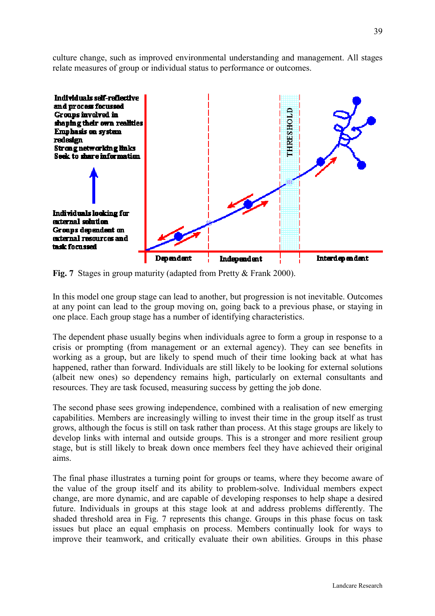culture change, such as improved environmental understanding and management. All stages relate measures of group or individual status to performance or outcomes.



**Fig. 7** Stages in group maturity (adapted from Pretty & Frank 2000).

In this model one group stage can lead to another, but progression is not inevitable. Outcomes at any point can lead to the group moving on, going back to a previous phase, or staying in one place. Each group stage has a number of identifying characteristics.

The dependent phase usually begins when individuals agree to form a group in response to a crisis or prompting (from management or an external agency). They can see benefits in working as a group, but are likely to spend much of their time looking back at what has happened, rather than forward. Individuals are still likely to be looking for external solutions (albeit new ones) so dependency remains high, particularly on external consultants and resources. They are task focused, measuring success by getting the job done.

The second phase sees growing independence, combined with a realisation of new emerging capabilities. Members are increasingly willing to invest their time in the group itself as trust grows, although the focus is still on task rather than process. At this stage groups are likely to develop links with internal and outside groups. This is a stronger and more resilient group stage, but is still likely to break down once members feel they have achieved their original aims.

The final phase illustrates a turning point for groups or teams, where they become aware of the value of the group itself and its ability to problem-solve. Individual members expect change, are more dynamic, and are capable of developing responses to help shape a desired future. Individuals in groups at this stage look at and address problems differently. The shaded threshold area in Fig. 7 represents this change. Groups in this phase focus on task issues but place an equal emphasis on process. Members continually look for ways to improve their teamwork, and critically evaluate their own abilities. Groups in this phase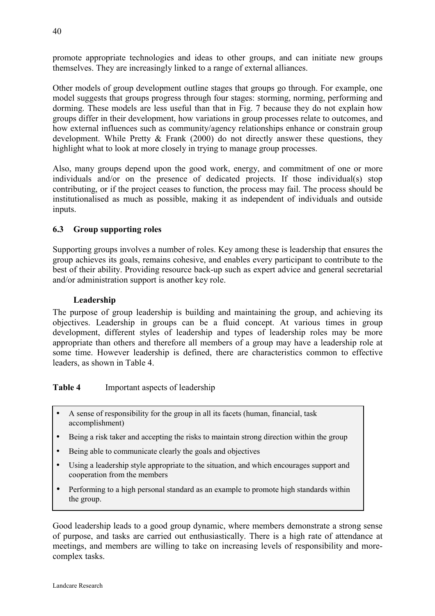<span id="page-39-0"></span>promote appropriate technologies and ideas to other groups, and can initiate new groups themselves. They are increasingly linked to a range of external alliances.

Other models of group development outline stages that groups go through. For example, one model suggests that groups progress through four stages: storming, norming, performing and dorming. These models are less useful than that in Fig. 7 because they do not explain how groups differ in their development, how variations in group processes relate to outcomes, and how external influences such as community/agency relationships enhance or constrain group development. While Pretty & Frank (2000) do not directly answer these questions, they highlight what to look at more closely in trying to manage group processes.

Also, many groups depend upon the good work, energy, and commitment of one or more individuals and/or on the presence of dedicated projects. If those individual(s) stop contributing, or if the project ceases to function, the process may fail. The process should be institutionalised as much as possible, making it as independent of individuals and outside inputs.

## **6.3 Group supporting roles**

Supporting groups involves a number of roles. Key among these is leadership that ensures the group achieves its goals, remains cohesive, and enables every participant to contribute to the best of their ability. Providing resource back-up such as expert advice and general secretarial and/or administration support is another key role.

## **Leadership**

The purpose of group leadership is building and maintaining the group, and achieving its objectives. Leadership in groups can be a fluid concept. At various times in group development, different styles of leadership and types of leadership roles may be more appropriate than others and therefore all members of a group may have a leadership role at some time. However leadership is defined, there are characteristics common to effective leaders, as shown in Table 4.

**Table 4** Important aspects of leadership

- A sense of responsibility for the group in all its facets (human, financial, task accomplishment)
- Being a risk taker and accepting the risks to maintain strong direction within the group
- Being able to communicate clearly the goals and objectives
- Using a leadership style appropriate to the situation, and which encourages support and cooperation from the members
- Performing to a high personal standard as an example to promote high standards within the group.

Good leadership leads to a good group dynamic, where members demonstrate a strong sense of purpose, and tasks are carried out enthusiastically. There is a high rate of attendance at meetings, and members are willing to take on increasing levels of responsibility and morecomplex tasks.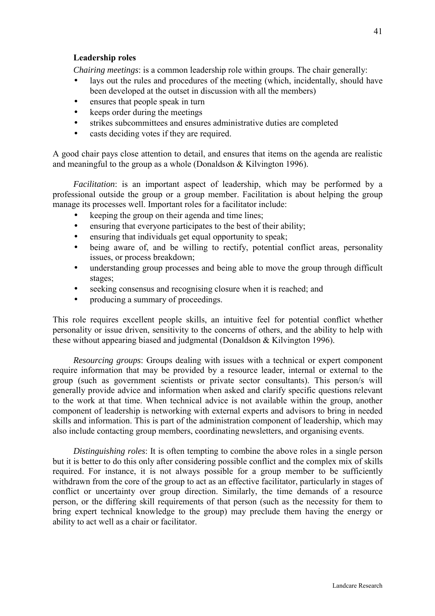*Chairing meetings*: is a common leadership role within groups. The chair generally:

- lays out the rules and procedures of the meeting (which, incidentally, should have been developed at the outset in discussion with all the members)
- ensures that people speak in turn
- keeps order during the meetings
- strikes subcommittees and ensures administrative duties are completed
- casts deciding votes if they are required.

A good chair pays close attention to detail, and ensures that items on the agenda are realistic and meaningful to the group as a whole (Donaldson & Kilvington 1996).

*Facilitation*: is an important aspect of leadership, which may be performed by a professional outside the group or a group member. Facilitation is about helping the group manage its processes well. Important roles for a facilitator include:

- keeping the group on their agenda and time lines;
- ensuring that everyone participates to the best of their ability;
- ensuring that individuals get equal opportunity to speak;
- being aware of, and be willing to rectify, potential conflict areas, personality issues, or process breakdown;
- understanding group processes and being able to move the group through difficult stages;
- seeking consensus and recognising closure when it is reached; and
- producing a summary of proceedings.

This role requires excellent people skills, an intuitive feel for potential conflict whether personality or issue driven, sensitivity to the concerns of others, and the ability to help with these without appearing biased and judgmental (Donaldson & Kilvington 1996).

 *Resourcing groups*: Groups dealing with issues with a technical or expert component require information that may be provided by a resource leader, internal or external to the group (such as government scientists or private sector consultants). This person/s will generally provide advice and information when asked and clarify specific questions relevant to the work at that time. When technical advice is not available within the group, another component of leadership is networking with external experts and advisors to bring in needed skills and information. This is part of the administration component of leadership, which may also include contacting group members, coordinating newsletters, and organising events.

 *Distinguishing roles*: It is often tempting to combine the above roles in a single person but it is better to do this only after considering possible conflict and the complex mix of skills required. For instance, it is not always possible for a group member to be sufficiently withdrawn from the core of the group to act as an effective facilitator, particularly in stages of conflict or uncertainty over group direction. Similarly, the time demands of a resource person, or the differing skill requirements of that person (such as the necessity for them to bring expert technical knowledge to the group) may preclude them having the energy or ability to act well as a chair or facilitator.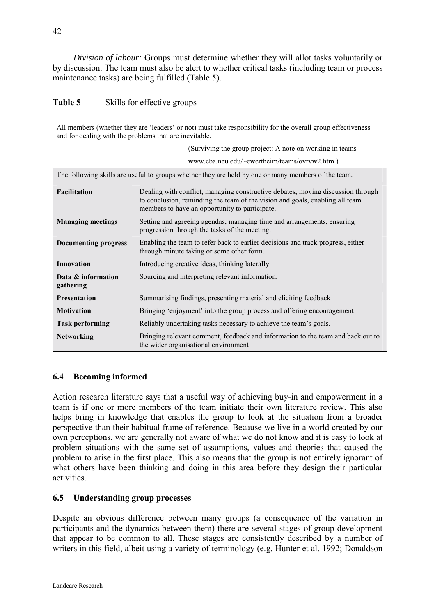<span id="page-41-0"></span> *Division of labour:* Groups must determine whether they will allot tasks voluntarily or by discussion. The team must also be alert to whether critical tasks (including team or process maintenance tasks) are being fulfilled (Table 5).

| <b>Table 5</b><br>Skills for effective groups |  |
|-----------------------------------------------|--|
|-----------------------------------------------|--|

| All members (whether they are 'leaders' or not) must take responsibility for the overall group effectiveness<br>and for dealing with the problems that are inevitable. |                                                                                                                                                                                                                   |  |  |
|------------------------------------------------------------------------------------------------------------------------------------------------------------------------|-------------------------------------------------------------------------------------------------------------------------------------------------------------------------------------------------------------------|--|--|
| (Surviving the group project: A note on working in teams)                                                                                                              |                                                                                                                                                                                                                   |  |  |
|                                                                                                                                                                        | www.cba.neu.edu/~ewertheim/teams/ovrvw2.htm.)                                                                                                                                                                     |  |  |
|                                                                                                                                                                        | The following skills are useful to groups whether they are held by one or many members of the team.                                                                                                               |  |  |
| <b>Facilitation</b>                                                                                                                                                    | Dealing with conflict, managing constructive debates, moving discussion through<br>to conclusion, reminding the team of the vision and goals, enabling all team<br>members to have an opportunity to participate. |  |  |
| <b>Managing meetings</b>                                                                                                                                               | Setting and agreeing agendas, managing time and arrangements, ensuring<br>progression through the tasks of the meeting.                                                                                           |  |  |
| <b>Documenting progress</b>                                                                                                                                            | Enabling the team to refer back to earlier decisions and track progress, either<br>through minute taking or some other form.                                                                                      |  |  |
| Innovation                                                                                                                                                             | Introducing creative ideas, thinking laterally.                                                                                                                                                                   |  |  |
| Data & information                                                                                                                                                     | Sourcing and interpreting relevant information.                                                                                                                                                                   |  |  |
| gathering                                                                                                                                                              |                                                                                                                                                                                                                   |  |  |
| <b>Presentation</b>                                                                                                                                                    | Summarising findings, presenting material and eliciting feedback                                                                                                                                                  |  |  |
| <b>Motivation</b>                                                                                                                                                      | Bringing 'enjoyment' into the group process and offering encouragement                                                                                                                                            |  |  |
| <b>Task performing</b>                                                                                                                                                 | Reliably undertaking tasks necessary to achieve the team's goals.                                                                                                                                                 |  |  |
| <b>Networking</b>                                                                                                                                                      | Bringing relevant comment, feedback and information to the team and back out to<br>the wider organisational environment                                                                                           |  |  |

#### **6.4 Becoming informed**

Action research literature says that a useful way of achieving buy-in and empowerment in a team is if one or more members of the team initiate their own literature review. This also helps bring in knowledge that enables the group to look at the situation from a broader perspective than their habitual frame of reference. Because we live in a world created by our own perceptions, we are generally not aware of what we do not know and it is easy to look at problem situations with the same set of assumptions, values and theories that caused the problem to arise in the first place. This also means that the group is not entirely ignorant of what others have been thinking and doing in this area before they design their particular activities.

#### **6.5 Understanding group processes**

Despite an obvious difference between many groups (a consequence of the variation in participants and the dynamics between them) there are several stages of group development that appear to be common to all. These stages are consistently described by a number of writers in this field, albeit using a variety of terminology (e.g. Hunter et al. 1992; Donaldson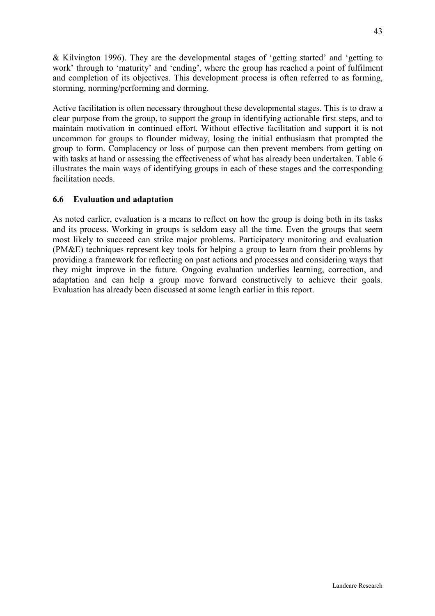<span id="page-42-0"></span>& Kilvington 1996). They are the developmental stages of 'getting started' and 'getting to work' through to 'maturity' and 'ending', where the group has reached a point of fulfilment and completion of its objectives. This development process is often referred to as forming, storming, norming/performing and dorming.

Active facilitation is often necessary throughout these developmental stages. This is to draw a clear purpose from the group, to support the group in identifying actionable first steps, and to maintain motivation in continued effort. Without effective facilitation and support it is not uncommon for groups to flounder midway, losing the initial enthusiasm that prompted the group to form. Complacency or loss of purpose can then prevent members from getting on with tasks at hand or assessing the effectiveness of what has already been undertaken. Table 6 illustrates the main ways of identifying groups in each of these stages and the corresponding facilitation needs.

## **6.6 Evaluation and adaptation**

As noted earlier, evaluation is a means to reflect on how the group is doing both in its tasks and its process. Working in groups is seldom easy all the time. Even the groups that seem most likely to succeed can strike major problems. Participatory monitoring and evaluation (PM&E) techniques represent key tools for helping a group to learn from their problems by providing a framework for reflecting on past actions and processes and considering ways that they might improve in the future. Ongoing evaluation underlies learning, correction, and adaptation and can help a group move forward constructively to achieve their goals. Evaluation has already been discussed at some length earlier in this report.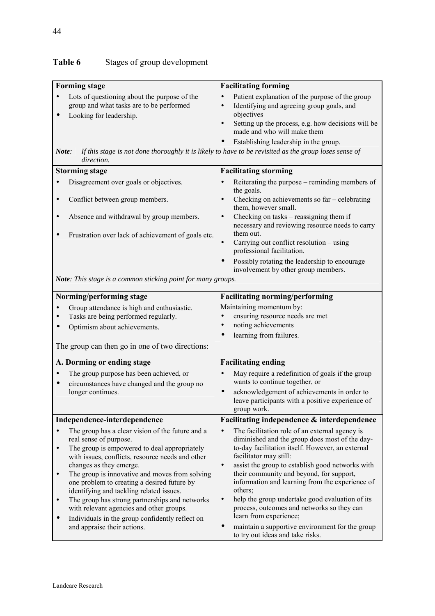# Table 6 Stages of group development

| <b>Forming stage</b>                                                                                                                                                                        | <b>Facilitating forming</b>                                                                                                                                                                                                                                        |  |
|---------------------------------------------------------------------------------------------------------------------------------------------------------------------------------------------|--------------------------------------------------------------------------------------------------------------------------------------------------------------------------------------------------------------------------------------------------------------------|--|
| Lots of questioning about the purpose of the<br>group and what tasks are to be performed<br>Looking for leadership.<br>$\bullet$                                                            | Patient explanation of the purpose of the group<br>Identifying and agreeing group goals, and<br>$\bullet$<br>objectives<br>Setting up the process, e.g. how decisions will be<br>$\bullet$<br>made and who will make them<br>Establishing leadership in the group. |  |
| Note:<br>direction.                                                                                                                                                                         | If this stage is not done thoroughly it is likely to have to be revisited as the group loses sense of                                                                                                                                                              |  |
| <b>Storming stage</b>                                                                                                                                                                       | <b>Facilitating storming</b>                                                                                                                                                                                                                                       |  |
| Disagreement over goals or objectives.                                                                                                                                                      | Reiterating the purpose – reminding members of<br>the goals.                                                                                                                                                                                                       |  |
| Conflict between group members.<br>$\bullet$                                                                                                                                                | Checking on achievements so far - celebrating<br>them, however small.                                                                                                                                                                                              |  |
| Absence and withdrawal by group members.<br>$\bullet$                                                                                                                                       | Checking on tasks – reassigning them if<br>$\bullet$<br>necessary and reviewing resource needs to carry                                                                                                                                                            |  |
| Frustration over lack of achievement of goals etc.                                                                                                                                          | them out.<br>Carrying out conflict resolution - using<br>professional facilitation.                                                                                                                                                                                |  |
|                                                                                                                                                                                             | Possibly rotating the leadership to encourage<br>involvement by other group members.                                                                                                                                                                               |  |
| Note: This stage is a common sticking point for many groups.                                                                                                                                |                                                                                                                                                                                                                                                                    |  |
| Norming/performing stage                                                                                                                                                                    | <b>Facilitating norming/performing</b>                                                                                                                                                                                                                             |  |
| Group attendance is high and enthusiastic.                                                                                                                                                  | Maintaining momentum by:                                                                                                                                                                                                                                           |  |
| Tasks are being performed regularly.                                                                                                                                                        | ensuring resource needs are met                                                                                                                                                                                                                                    |  |
| Optimism about achievements.                                                                                                                                                                | noting achievements                                                                                                                                                                                                                                                |  |
|                                                                                                                                                                                             | learning from failures.                                                                                                                                                                                                                                            |  |
| The group can then go in one of two directions:                                                                                                                                             |                                                                                                                                                                                                                                                                    |  |
| A. Dorming or ending stage                                                                                                                                                                  | <b>Facilitating ending</b>                                                                                                                                                                                                                                         |  |
| The group purpose has been achieved, or<br>circumstances have changed and the group no<br>$\bullet$                                                                                         | May require a redefinition of goals if the group<br>wants to continue together, or                                                                                                                                                                                 |  |
| longer continues.                                                                                                                                                                           | acknowledgement of achievements in order to<br>leave participants with a positive experience of<br>group work.                                                                                                                                                     |  |
| Independence-interdependence                                                                                                                                                                | Facilitating independence & interdependence                                                                                                                                                                                                                        |  |
| The group has a clear vision of the future and a<br>real sense of purpose.<br>The group is empowered to deal appropriately<br>$\bullet$<br>with issues, conflicts, resource needs and other | The facilitation role of an external agency is<br>diminished and the group does most of the day-<br>to-day facilitation itself. However, an external<br>facilitator may still:                                                                                     |  |
| changes as they emerge.<br>The group is innovative and moves from solving<br>one problem to creating a desired future by<br>identifying and tackling related issues.                        | assist the group to establish good networks with<br>their community and beyond, for support,<br>information and learning from the experience of<br>others;                                                                                                         |  |
| The group has strong partnerships and networks<br>with relevant agencies and other groups.<br>Individuals in the group confidently reflect on<br>$\bullet$                                  | help the group undertake good evaluation of its<br>$\bullet$<br>process, outcomes and networks so they can<br>learn from experience;                                                                                                                               |  |
| and appraise their actions.                                                                                                                                                                 | maintain a supportive environment for the group<br>to try out ideas and take risks.                                                                                                                                                                                |  |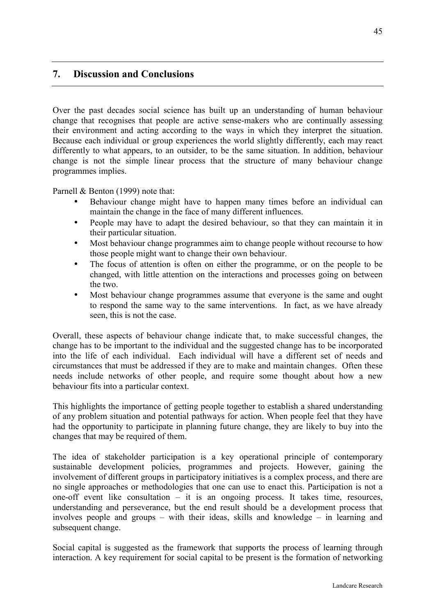## <span id="page-44-0"></span>**7. Discussion and Conclusions**

Over the past decades social science has built up an understanding of human behaviour change that recognises that people are active sense-makers who are continually assessing their environment and acting according to the ways in which they interpret the situation. Because each individual or group experiences the world slightly differently, each may react differently to what appears, to an outsider, to be the same situation. In addition, behaviour change is not the simple linear process that the structure of many behaviour change programmes implies.

Parnell & Benton (1999) note that:

- Behaviour change might have to happen many times before an individual can maintain the change in the face of many different influences.
- People may have to adapt the desired behaviour, so that they can maintain it in their particular situation.
- Most behaviour change programmes aim to change people without recourse to how those people might want to change their own behaviour.
- The focus of attention is often on either the programme, or on the people to be changed, with little attention on the interactions and processes going on between the two.
- Most behaviour change programmes assume that everyone is the same and ought to respond the same way to the same interventions. In fact, as we have already seen, this is not the case.

Overall, these aspects of behaviour change indicate that, to make successful changes, the change has to be important to the individual and the suggested change has to be incorporated into the life of each individual. Each individual will have a different set of needs and circumstances that must be addressed if they are to make and maintain changes. Often these needs include networks of other people, and require some thought about how a new behaviour fits into a particular context.

This highlights the importance of getting people together to establish a shared understanding of any problem situation and potential pathways for action. When people feel that they have had the opportunity to participate in planning future change, they are likely to buy into the changes that may be required of them.

The idea of stakeholder participation is a key operational principle of contemporary sustainable development policies, programmes and projects. However, gaining the involvement of different groups in participatory initiatives is a complex process, and there are no single approaches or methodologies that one can use to enact this. Participation is not a one-off event like consultation – it is an ongoing process. It takes time, resources, understanding and perseverance, but the end result should be a development process that involves people and groups – with their ideas, skills and knowledge – in learning and subsequent change.

Social capital is suggested as the framework that supports the process of learning through interaction. A key requirement for social capital to be present is the formation of networking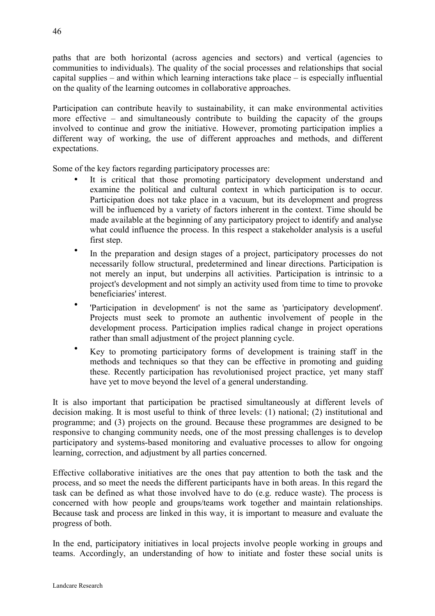paths that are both horizontal (across agencies and sectors) and vertical (agencies to communities to individuals). The quality of the social processes and relationships that social capital supplies – and within which learning interactions take place – is especially influential on the quality of the learning outcomes in collaborative approaches.

Participation can contribute heavily to sustainability, it can make environmental activities more effective – and simultaneously contribute to building the capacity of the groups involved to continue and grow the initiative. However, promoting participation implies a different way of working, the use of different approaches and methods, and different expectations.

Some of the key factors regarding participatory processes are:

- It is critical that those promoting participatory development understand and examine the political and cultural context in which participation is to occur. Participation does not take place in a vacuum, but its development and progress will be influenced by a variety of factors inherent in the context. Time should be made available at the beginning of any participatory project to identify and analyse what could influence the process. In this respect a stakeholder analysis is a useful first step.
- In the preparation and design stages of a project, participatory processes do not necessarily follow structural, predetermined and linear directions. Participation is not merely an input, but underpins all activities. Participation is intrinsic to a project's development and not simply an activity used from time to time to provoke beneficiaries' interest.
- 'Participation in development' is not the same as 'participatory development'. Projects must seek to promote an authentic involvement of people in the development process. Participation implies radical change in project operations rather than small adjustment of the project planning cycle.
- Key to promoting participatory forms of development is training staff in the methods and techniques so that they can be effective in promoting and guiding these. Recently participation has revolutionised project practice, yet many staff have vet to move beyond the level of a general understanding.

It is also important that participation be practised simultaneously at different levels of decision making. It is most useful to think of three levels: (1) national; (2) institutional and programme; and (3) projects on the ground. Because these programmes are designed to be responsive to changing community needs, one of the most pressing challenges is to develop participatory and systems-based monitoring and evaluative processes to allow for ongoing learning, correction, and adjustment by all parties concerned.

Effective collaborative initiatives are the ones that pay attention to both the task and the process, and so meet the needs the different participants have in both areas. In this regard the task can be defined as what those involved have to do (e.g. reduce waste). The process is concerned with how people and groups/teams work together and maintain relationships. Because task and process are linked in this way, it is important to measure and evaluate the progress of both.

In the end, participatory initiatives in local projects involve people working in groups and teams. Accordingly, an understanding of how to initiate and foster these social units is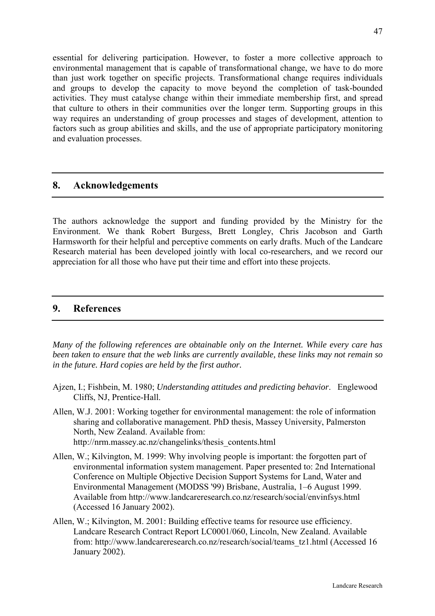<span id="page-46-0"></span>essential for delivering participation. However, to foster a more collective approach to environmental management that is capable of transformational change, we have to do more than just work together on specific projects. Transformational change requires individuals and groups to develop the capacity to move beyond the completion of task-bounded activities. They must catalyse change within their immediate membership first, and spread that culture to others in their communities over the longer term. Supporting groups in this way requires an understanding of group processes and stages of development, attention to factors such as group abilities and skills, and the use of appropriate participatory monitoring and evaluation processes.

## **8. Acknowledgements**

The authors acknowledge the support and funding provided by the Ministry for the Environment. We thank Robert Burgess, Brett Longley, Chris Jacobson and Garth Harmsworth for their helpful and perceptive comments on early drafts. Much of the Landcare Research material has been developed jointly with local co-researchers, and we record our appreciation for all those who have put their time and effort into these projects.

## **9. References**

*Many of the following references are obtainable only on the Internet. While every care has been taken to ensure that the web links are currently available, these links may not remain so in the future. Hard copies are held by the first author.* 

- Ajzen, I.; Fishbein, M. 1980; *Understanding attitudes and predicting behavior*. Englewood Cliffs, NJ, Prentice-Hall.
- Allen, W.J. 2001: Working together for environmental management: the role of information sharing and collaborative management. PhD thesis, Massey University, Palmerston North, New Zealand. Available from: http://nrm.massey.ac.nz/changelinks/thesis\_contents.html
- Allen, W.; Kilvington, M. 1999: Why involving people is important: the forgotten part of environmental information system management. Paper presented to: 2nd International Conference on Multiple Objective Decision Support Systems for Land, Water and Environmental Management (MODSS '99) Brisbane, Australia, 1–6 August 1999. Available from http://www.landcareresearch.co.nz/research/social/envinfsys.html (Accessed 16 January 2002).
- Allen, W.; Kilvington, M. 2001: Building effective teams for resource use efficiency. Landcare Research Contract Report LC0001/060, Lincoln, New Zealand. Available from: http://www.landcareresearch.co.nz/research/social/teams\_tz1.html (Accessed 16 January 2002).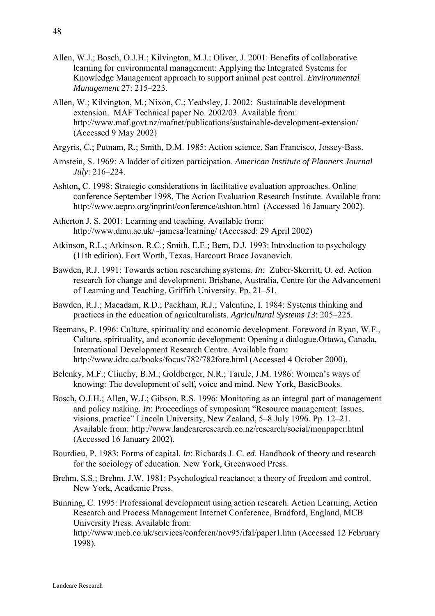- Allen, W.J.; Bosch, O.J.H.; Kilvington, M.J.; Oliver, J. 2001: Benefits of collaborative learning for environmental management: Applying the Integrated Systems for Knowledge Management approach to support animal pest control. *Environmental Management* 27: 215–223.
- Allen, W.; Kilvington, M.; Nixon, C.; Yeabsley, J. 2002: Sustainable development extension. MAF Technical paper No. 2002/03. Available from: http://www.maf.govt.nz/mafnet/publications/sustainable-development-extension/ (Accessed 9 May 2002)
- Argyris, C.; Putnam, R.; Smith, D.M. 1985: Action science. San Francisco, Jossey-Bass.
- Arnstein, S. 1969: A ladder of citizen participation. *American Institute of Planners Journal July*: 216–224.
- Ashton, C. 1998: Strategic considerations in facilitative evaluation approaches. Online conference September 1998, The Action Evaluation Research Institute. Available from: http://www.aepro.org/inprint/conference/ashton.html (Accessed 16 January 2002).
- Atherton J. S. 2001: Learning and teaching. Available from: http://www.dmu.ac.uk/~jamesa/learning/ (Accessed: 29 April 2002)
- Atkinson, R.L.; Atkinson, R.C.; Smith, E.E.; Bem, D.J. 1993: Introduction to psychology (11th edition). Fort Worth, Texas, Harcourt Brace Jovanovich.
- Bawden, R.J. 1991: Towards action researching systems. *In:* Zuber-Skerritt, O. *ed*. Action research for change and development. Brisbane, Australia, Centre for the Advancement of Learning and Teaching, Griffith University. Pp. 21–51.
- Bawden, R.J.; Macadam, R.D.; Packham, R.J.; Valentine, I. 1984: Systems thinking and practices in the education of agriculturalists. *Agricultural Systems 13*: 205–225.
- Beemans, P. 1996: Culture, spirituality and economic development. Foreword *in* Ryan, W.F., Culture, spirituality, and economic development: Opening a dialogue.Ottawa, Canada, International Development Research Centre. Available from: http://www.idrc.ca/books/focus/782/782fore.html (Accessed 4 October 2000).
- Belenky, M.F.; Clinchy, B.M.; Goldberger, N.R.; Tarule, J.M. 1986: Women's ways of knowing: The development of self, voice and mind. New York, BasicBooks.
- Bosch, O.J.H.; Allen, W.J.; Gibson, R.S. 1996: Monitoring as an integral part of management and policy making. *In*: Proceedings of symposium "Resource management: Issues, visions, practice" Lincoln University, New Zealand, 5–8 July 1996. Pp. 12–21. Available from: http://www.landcareresearch.co.nz/research/social/monpaper.html (Accessed 16 January 2002).
- Bourdieu, P. 1983: Forms of capital. *In*: Richards J. C. *ed*. Handbook of theory and research for the sociology of education. New York, Greenwood Press.
- Brehm, S.S.; Brehm, J.W. 1981: Psychological reactance: a theory of freedom and control. New York, Academic Press.
- Bunning, C. 1995: Professional development using action research. Action Learning, Action Research and Process Management Internet Conference, Bradford, England, MCB University Press. Available from:

http://www.mcb.co.uk/services/conferen/nov95/ifal/paper1.htm (Accessed 12 February 1998).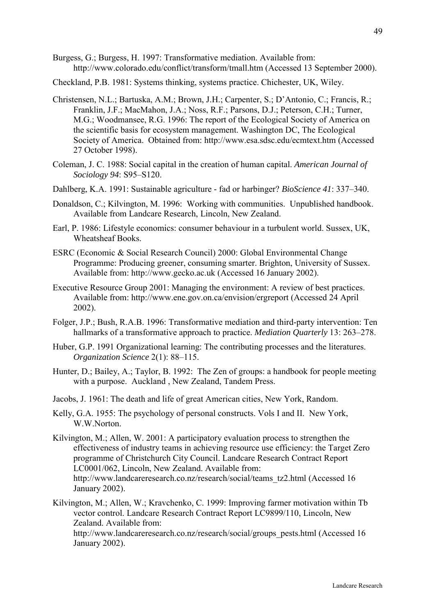- Burgess, G.; Burgess, H. 1997: Transformative mediation. Available from: http://www.colorado.edu/conflict/transform/tmall.htm (Accessed 13 September 2000).
- Checkland, P.B. 1981: Systems thinking, systems practice. Chichester, UK, Wiley.
- Christensen, N.L.; Bartuska, A.M.; Brown, J.H.; Carpenter, S.; D'Antonio, C.; Francis, R.; Franklin, J.F.; MacMahon, J.A.; Noss, R.F.; Parsons, D.J.; Peterson, C.H.; Turner, M.G.; Woodmansee, R.G. 1996: The report of the Ecological Society of America on the scientific basis for ecosystem management. Washington DC, The Ecological Society of America. Obtained from: http://www.esa.sdsc.edu/ecmtext.htm (Accessed 27 October 1998).
- Coleman, J. C. 1988: Social capital in the creation of human capital. *American Journal of Sociology 94*: S95–S120.
- Dahlberg, K.A. 1991: Sustainable agriculture fad or harbinger? *BioScience 41*: 337–340.
- Donaldson, C.; Kilvington, M. 1996: Working with communities. Unpublished handbook. Available from Landcare Research, Lincoln, New Zealand.
- Earl, P. 1986: Lifestyle economics: consumer behaviour in a turbulent world. Sussex, UK, Wheatsheaf Books.
- ESRC (Economic & Social Research Council) 2000: Global Environmental Change Programme: Producing greener, consuming smarter. Brighton, University of Sussex. Available from: http://www.gecko.ac.uk (Accessed 16 January 2002).
- Executive Resource Group 2001: Managing the environment: A review of best practices. Available from: http://www.ene.gov.on.ca/envision/ergreport (Accessed 24 April 2002).
- Folger, J.P.; Bush, R.A.B. 1996: Transformative mediation and third-party intervention: Ten hallmarks of a transformative approach to practice. *Mediation Quarterly* 13: 263–278.
- Huber, G.P. 1991 Organizational learning: The contributing processes and the literatures. *Organization Science* 2(1): 88–115.
- Hunter, D.; Bailey, A.; Taylor, B. 1992: The Zen of groups: a handbook for people meeting with a purpose. Auckland , New Zealand, Tandem Press.
- Jacobs, J. 1961: The death and life of great American cities, New York, Random.
- Kelly, G.A. 1955: The psychology of personal constructs. Vols I and II. New York, W.W.Norton.
- Kilvington, M.; Allen, W. 2001: A participatory evaluation process to strengthen the effectiveness of industry teams in achieving resource use efficiency: the Target Zero programme of Christchurch City Council. Landcare Research Contract Report LC0001/062, Lincoln, New Zealand. Available from: http://www.landcareresearch.co.nz/research/social/teams\_tz2.html (Accessed 16 January 2002).
- Kilvington, M.; Allen, W.; Kravchenko, C. 1999: Improving farmer motivation within Tb vector control. Landcare Research Contract Report LC9899/110, Lincoln, New Zealand. Available from:

http://www.landcareresearch.co.nz/research/social/groups\_pests.html (Accessed 16 January 2002).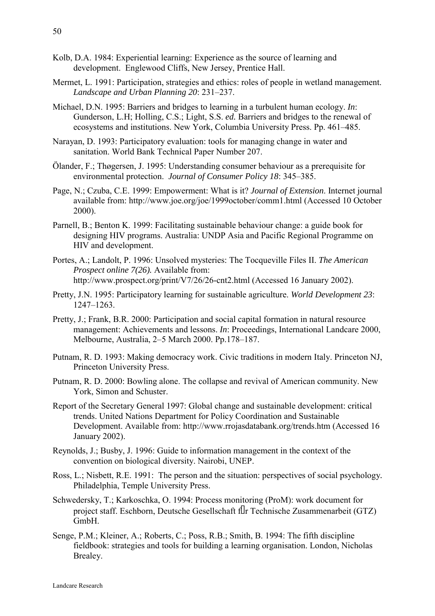- Kolb, D.A. 1984: Experiential learning: Experience as the source of learning and development. Englewood Cliffs, New Jersey, Prentice Hall.
- Mermet, L. 1991: Participation, strategies and ethics: roles of people in wetland management. *Landscape and Urban Planning 20*: 231–237.
- Michael, D.N. 1995: Barriers and bridges to learning in a turbulent human ecology. *In*: Gunderson, L.H; Holling, C.S.; Light, S.S. *ed.* Barriers and bridges to the renewal of ecosystems and institutions. New York, Columbia University Press. Pp. 461–485.
- Narayan, D. 1993: Participatory evaluation: tools for managing change in water and sanitation. World Bank Technical Paper Number 207.
- Ölander, F.; Thøgersen, J. 1995: Understanding consumer behaviour as a prerequisite for environmental protection. *Journal of Consumer Policy 18*: 345–385.
- Page, N.; Czuba, C.E. 1999: Empowerment: What is it? *Journal of Extension*. Internet journal available from: http://www.joe.org/joe/1999october/comm1.html (Accessed 10 October 2000).
- Parnell, B.; Benton K. 1999: Facilitating sustainable behaviour change: a guide book for designing HIV programs. Australia: UNDP Asia and Pacific Regional Programme on HIV and development.
- Portes, A.; Landolt, P. 1996: Unsolved mysteries: The Tocqueville Files II. *The American Prospect online 7(26).* Available from: http://www.prospect.org/print/V7/26/26-cnt2.html (Accessed 16 January 2002).
- Pretty, J.N. 1995: Participatory learning for sustainable agriculture. *World Development 23*: 1247–1263.
- Pretty, J.; Frank, B.R. 2000: Participation and social capital formation in natural resource management: Achievements and lessons. *In*: Proceedings, International Landcare 2000, Melbourne, Australia, 2–5 March 2000. Pp.178–187.
- Putnam, R. D. 1993: Making democracy work. Civic traditions in modern Italy. Princeton NJ, Princeton University Press.
- Putnam, R. D. 2000: Bowling alone. The collapse and revival of American community. New York, Simon and Schuster.
- Report of the Secretary General 1997: Global change and sustainable development: critical trends. United Nations Department for Policy Coordination and Sustainable Development. Available from: http://www.rrojasdatabank.org/trends.htm (Accessed 16 January 2002).
- Reynolds, J.; Busby, J. 1996: Guide to information management in the context of the convention on biological diversity. Nairobi, UNEP.
- Ross, L.; Nisbett, R.E. 1991:The person and the situation: perspectives of social psychology*.*  Philadelphia, Temple University Press.
- Schwedersky, T.; Karkoschka, O. 1994: Process monitoring (ProM): work document for project staff. Eschborn, Deutsche Gesellschaft f r Technische Zusammenarbeit (GTZ) GmbH.
- Senge, P.M.; Kleiner, A.; Roberts, C.; Poss, R.B.; Smith, B. 1994: The fifth discipline fieldbook: strategies and tools for building a learning organisation. London, Nicholas Brealey.